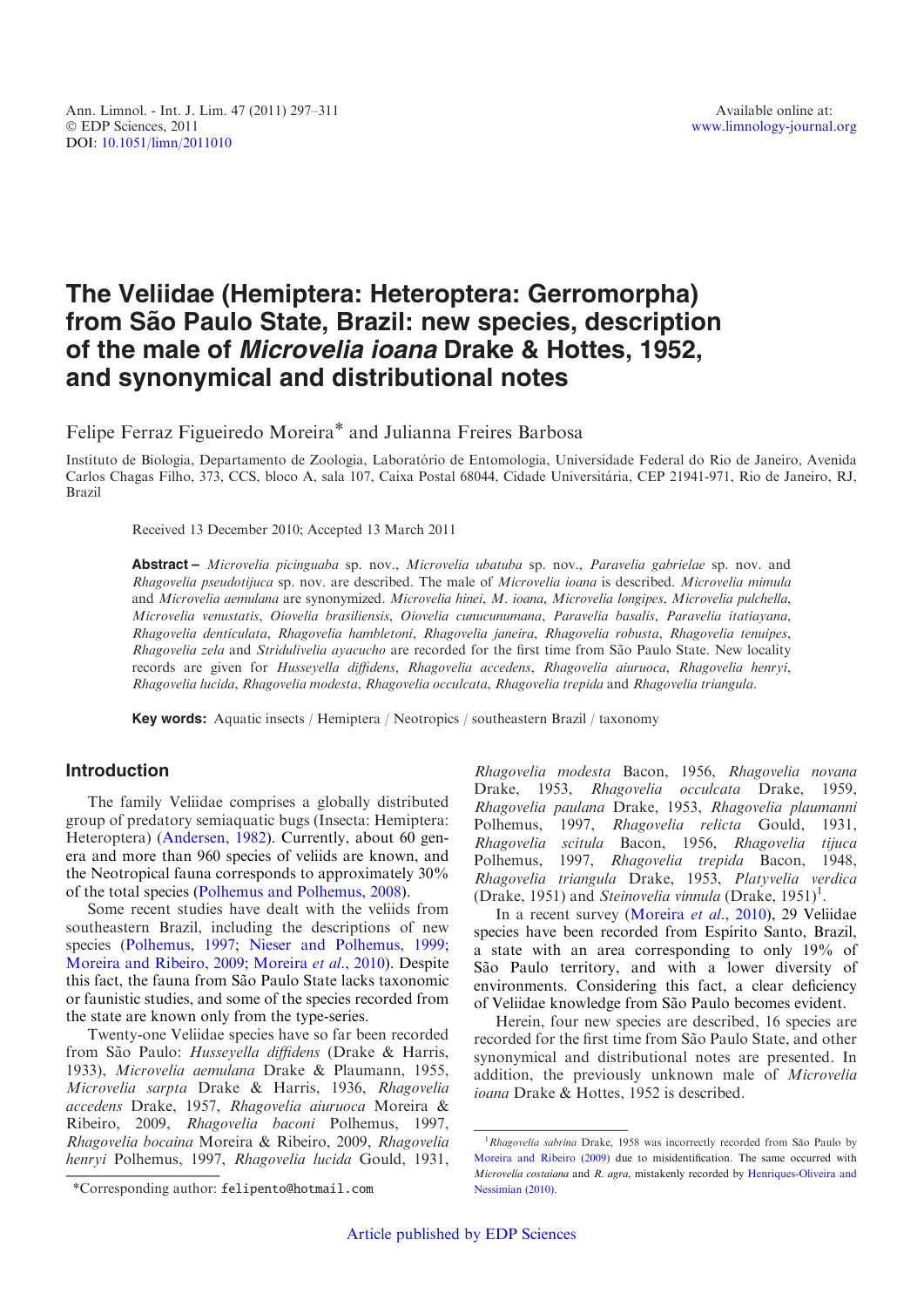# The Veliidae (Hemiptera: Heteroptera: Gerromorpha) from São Paulo State, Brazil: new species, description of the male of Microvelia ioana Drake & Hottes, 1952, and synonymical and distributional notes

Felipe Ferraz Figueiredo Moreira\* and Julianna Freires Barbosa

Instituto de Biologia, Departamento de Zoologia, Laboratório de Entomologia, Universidade Federal do Rio de Janeiro, Avenida Carlos Chagas Filho, 373, CCS, bloco A, sala 107, Caixa Postal 68044, Cidade Universitária, CEP 21941-971, Rio de Janeiro, RJ, Brazil

Received 13 December 2010; Accepted 13 March 2011

Abstract - Microvelia picinguaba sp. nov., Microvelia ubatuba sp. nov., Paravelia gabrielae sp. nov. and Rhagovelia pseudotijuca sp. nov. are described. The male of Microvelia ioana is described. Microvelia mimula and Microvelia aemulana are synonymized. Microvelia hinei, M. ioana, Microvelia longipes, Microvelia pulchella, Microvelia venustatis, Oiovelia brasiliensis, Oiovelia cunucunumana, Paravelia basalis, Paravelia itatiayana, Rhagovelia denticulata, Rhagovelia hambletoni, Rhagovelia janeira, Rhagovelia robusta, Rhagovelia tenuipes, Rhagovelia zela and Stridulivelia ayacucho are recorded for the first time from São Paulo State. New locality records are given for Husseyella diffidens, Rhagovelia accedens, Rhagovelia aiuruoca, Rhagovelia henryi, Rhagovelia lucida, Rhagovelia modesta, Rhagovelia occulcata, Rhagovelia trepida and Rhagovelia triangula.

Key words: Aquatic insects / Hemiptera / Neotropics / southeastern Brazil / taxonomy

## Introduction

The family Veliidae comprises a globally distributed group of predatory semiaquatic bugs (Insecta: Hemiptera: Heteroptera) [\(Andersen, 1982](#page-14-0)). Currently, about 60 genera and more than 960 species of veliids are known, and the Neotropical fauna corresponds to approximately 30% of the total species ([Polhemus and Polhemus, 2008\)](#page-14-0).

Some recent studies have dealt with the veliids from southeastern Brazil, including the descriptions of new species ([Polhemus, 1997](#page-14-0); [Nieser and Polhemus, 1999;](#page-14-0) [Moreira and Ribeiro, 2009](#page-14-0); [Moreira](#page-14-0) et al., 2010). Despite this fact, the fauna from São Paulo State lacks taxonomic or faunistic studies, and some of the species recorded from the state are known only from the type-series.

Twenty-one Veliidae species have so far been recorded from São Paulo: Husseyella diffidens (Drake & Harris, 1933), Microvelia aemulana Drake & Plaumann, 1955, Microvelia sarpta Drake & Harris, 1936, Rhagovelia accedens Drake, 1957, Rhagovelia aiuruoca Moreira & Ribeiro, 2009, Rhagovelia baconi Polhemus, 1997, Rhagovelia bocaina Moreira & Ribeiro, 2009, Rhagovelia henryi Polhemus, 1997, Rhagovelia lucida Gould, 1931,

\*Corresponding author: felipento@hotmail.com

Rhagovelia modesta Bacon, 1956, Rhagovelia novana Drake, 1953, Rhagovelia occulcata Drake, 1959, Rhagovelia paulana Drake, 1953, Rhagovelia plaumanni Polhemus, 1997, Rhagovelia relicta Gould, 1931, Rhagovelia scitula Bacon, 1956, Rhagovelia tijuca Polhemus, 1997, Rhagovelia trepida Bacon, 1948, Rhagovelia triangula Drake, 1953, Platyvelia verdica (Drake, 1951) and Steinovelia vinnula (Drake,  $1951$ )<sup>1</sup>.

In a recent survey ([Moreira](#page-14-0) et al., 2010), 29 Veliidae species have been recorded from Espírito Santo, Brazil, a state with an area corresponding to only 19% of São Paulo territory, and with a lower diversity of environments. Considering this fact, a clear deficiency of Veliidae knowledge from São Paulo becomes evident.

Herein, four new species are described, 16 species are recorded for the first time from São Paulo State, and other synonymical and distributional notes are presented. In addition, the previously unknown male of Microvelia ioana Drake & Hottes, 1952 is described.

<sup>&</sup>lt;sup>1</sup>Rhagovelia sabrina Drake, 1958 was incorrectly recorded from São Paulo by [Moreira and Ribeiro \(2009\)](#page-14-0) due to misidentification. The same occurred with Microvelia costaiana and R. agra, mistakenly recorded by [Henriques-Oliveira and](#page-14-0) [Nessimian \(2010\).](#page-14-0)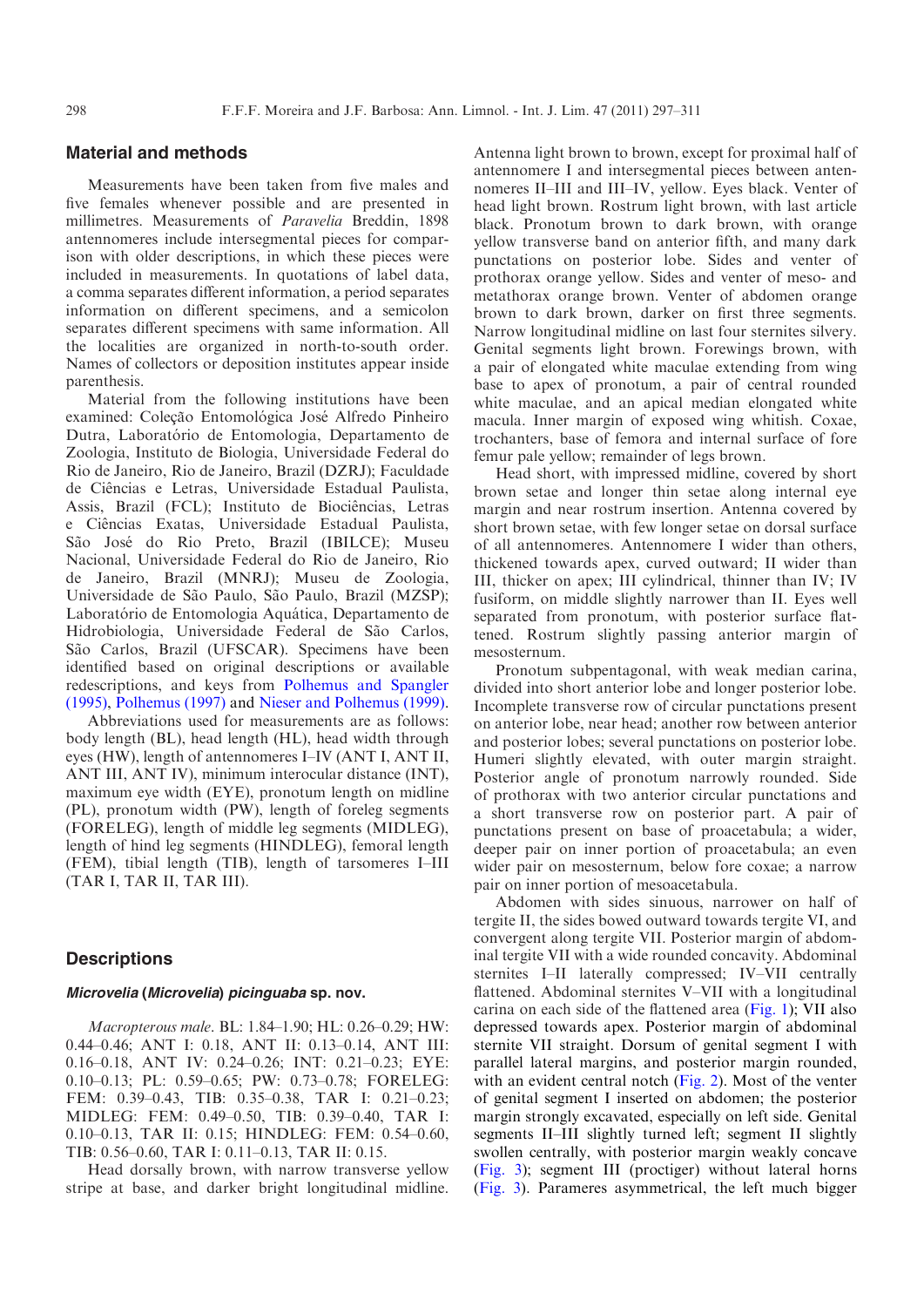# Material and methods

Measurements have been taken from five males and five females whenever possible and are presented in millimetres. Measurements of Paravelia Breddin, 1898 antennomeres include intersegmental pieces for comparison with older descriptions, in which these pieces were included in measurements. In quotations of label data, a comma separates different information, a period separates information on different specimens, and a semicolon separates different specimens with same information. All the localities are organized in north-to-south order. Names of collectors or deposition institutes appear inside parenthesis.

Material from the following institutions have been examined: Coleção Entomológica José Alfredo Pinheiro Dutra, Laboratório de Entomologia, Departamento de Zoologia, Instituto de Biologia, Universidade Federal do Rio de Janeiro, Rio de Janeiro, Brazil (DZRJ); Faculdade de Ciências e Letras, Universidade Estadual Paulista, Assis, Brazil (FCL); Instituto de Biociências, Letras e Ciências Exatas, Universidade Estadual Paulista, São José do Rio Preto, Brazil (IBILCE); Museu Nacional, Universidade Federal do Rio de Janeiro, Rio de Janeiro, Brazil (MNRJ); Museu de Zoologia, Universidade de São Paulo, São Paulo, Brazil (MZSP); Laboratório de Entomologia Aquática, Departamento de Hidrobiologia, Universidade Federal de São Carlos, São Carlos, Brazil (UFSCAR). Specimens have been identified based on original descriptions or available redescriptions, and keys from [Polhemus and Spangler](#page-14-0) [\(1995\),](#page-14-0) [Polhemus \(1997\)](#page-14-0) and [Nieser and Polhemus \(1999\).](#page-14-0)

Abbreviations used for measurements are as follows: body length (BL), head length (HL), head width through eyes (HW), length of antennomeres I–IV (ANT I, ANT II, ANT III, ANT IV), minimum interocular distance (INT), maximum eye width (EYE), pronotum length on midline (PL), pronotum width (PW), length of foreleg segments (FORELEG), length of middle leg segments (MIDLEG), length of hind leg segments (HINDLEG), femoral length (FEM), tibial length (TIB), length of tarsomeres I–III (TAR I, TAR II, TAR III).

## **Descriptions**

## Microvelia (Microvelia) picinguaba sp. nov.

Macropterous male. BL: 1.84–1.90; HL: 0.26–0.29; HW: 0.44–0.46; ANT I: 0.18, ANT II: 0.13–0.14, ANT III: 0.16–0.18, ANT IV: 0.24–0.26; INT: 0.21–0.23; EYE: 0.10–0.13; PL: 0.59–0.65; PW: 0.73–0.78; FORELEG: FEM: 0.39–0.43, TIB: 0.35–0.38, TAR I: 0.21–0.23; MIDLEG: FEM: 0.49–0.50, TIB: 0.39–0.40, TAR I: 0.10–0.13, TAR II: 0.15; HINDLEG: FEM: 0.54–0.60, TIB: 0.56–0.60, TAR I: 0.11–0.13, TAR II: 0.15.

Head dorsally brown, with narrow transverse yellow stripe at base, and darker bright longitudinal midline.

Antenna light brown to brown, except for proximal half of antennomere I and intersegmental pieces between antennomeres II–III and III–IV, yellow. Eyes black. Venter of head light brown. Rostrum light brown, with last article black. Pronotum brown to dark brown, with orange yellow transverse band on anterior fifth, and many dark punctations on posterior lobe. Sides and venter of prothorax orange yellow. Sides and venter of meso- and metathorax orange brown. Venter of abdomen orange brown to dark brown, darker on first three segments. Narrow longitudinal midline on last four sternites silvery. Genital segments light brown. Forewings brown, with a pair of elongated white maculae extending from wing base to apex of pronotum, a pair of central rounded white maculae, and an apical median elongated white macula. Inner margin of exposed wing whitish. Coxae, trochanters, base of femora and internal surface of fore femur pale yellow; remainder of legs brown.

Head short, with impressed midline, covered by short brown setae and longer thin setae along internal eye margin and near rostrum insertion. Antenna covered by short brown setae, with few longer setae on dorsal surface of all antennomeres. Antennomere I wider than others, thickened towards apex, curved outward; II wider than III, thicker on apex; III cylindrical, thinner than IV; IV fusiform, on middle slightly narrower than II. Eyes well separated from pronotum, with posterior surface flattened. Rostrum slightly passing anterior margin of mesosternum.

Pronotum subpentagonal, with weak median carina, divided into short anterior lobe and longer posterior lobe. Incomplete transverse row of circular punctations present on anterior lobe, near head; another row between anterior and posterior lobes; several punctations on posterior lobe. Humeri slightly elevated, with outer margin straight. Posterior angle of pronotum narrowly rounded. Side of prothorax with two anterior circular punctations and a short transverse row on posterior part. A pair of punctations present on base of proacetabula; a wider, deeper pair on inner portion of proacetabula; an even wider pair on mesosternum, below fore coxae; a narrow pair on inner portion of mesoacetabula.

Abdomen with sides sinuous, narrower on half of tergite II, the sides bowed outward towards tergite VI, and convergent along tergite VII. Posterior margin of abdominal tergite VII with a wide rounded concavity. Abdominal sternites I–II laterally compressed; IV–VII centrally flattened. Abdominal sternites V–VII with a longitudinal carina on each side of the flattened area  $(Fig. 1)$  $(Fig. 1)$ ; VII also depressed towards apex. Posterior margin of abdominal sternite VII straight. Dorsum of genital segment I with parallel lateral margins, and posterior margin rounded, with an evident central notch [\(Fig. 2](#page-2-0)). Most of the venter of genital segment I inserted on abdomen; the posterior margin strongly excavated, especially on left side. Genital segments II–III slightly turned left; segment II slightly swollen centrally, with posterior margin weakly concave ([Fig. 3](#page-2-0)); segment III (proctiger) without lateral horns ([Fig. 3\)](#page-2-0). Parameres asymmetrical, the left much bigger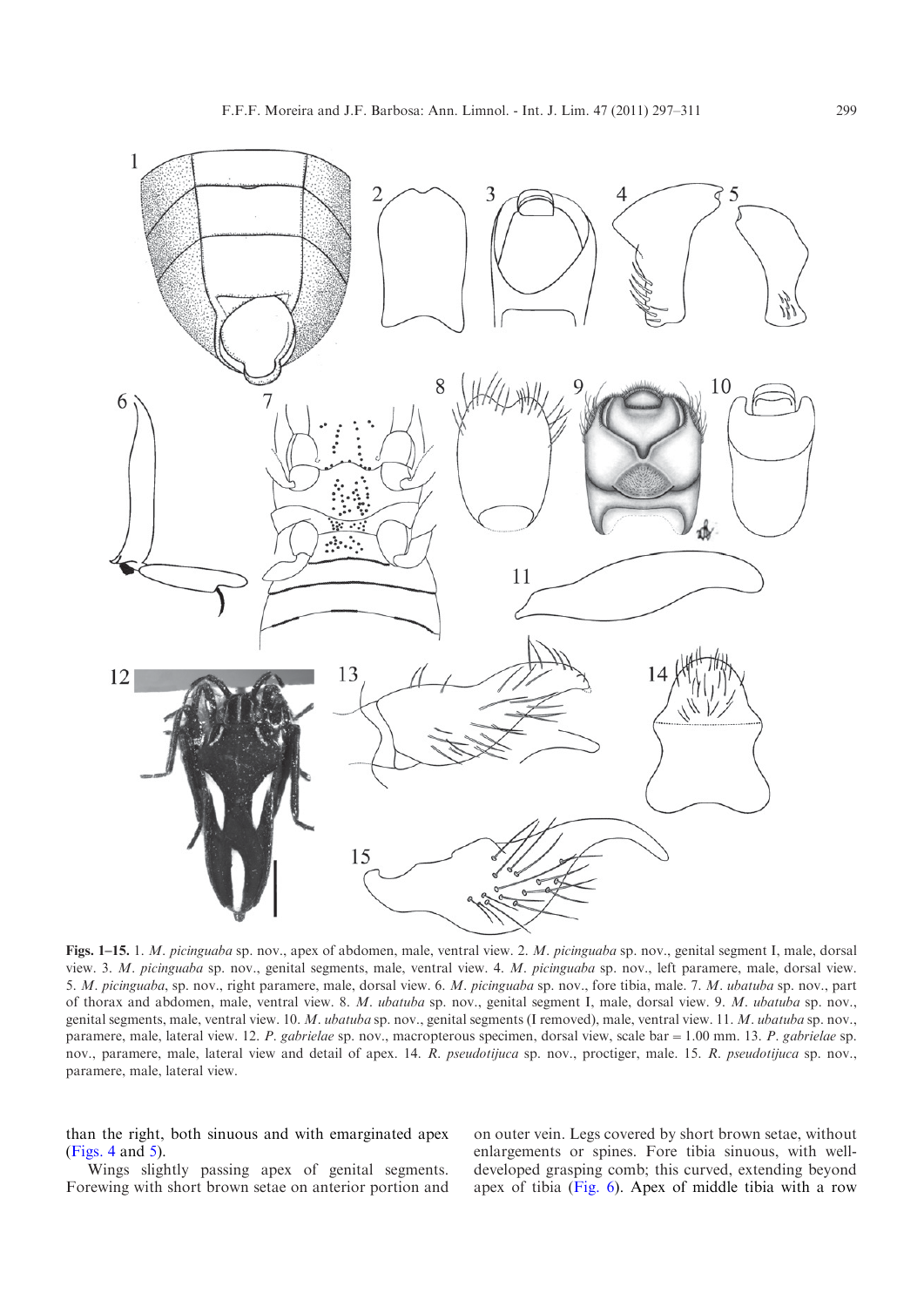<span id="page-2-0"></span>

Figs. 1–15. 1. M. picinguaba sp. nov., apex of abdomen, male, ventral view. 2. M. picinguaba sp. nov., genital segment I, male, dorsal view. 3. M. picinguaba sp. nov., genital segments, male, ventral view. 4. M. picinguaba sp. nov., left paramere, male, dorsal view. 5. M. picinguaba, sp. nov., right paramere, male, dorsal view. 6. M. picinguaba sp. nov., fore tibia, male. 7. M. ubatuba sp. nov., part of thorax and abdomen, male, ventral view. 8. M. ubatuba sp. nov., genital segment I, male, dorsal view. 9. M. ubatuba sp. nov., genital segments, male, ventral view. 10. M. ubatuba sp. nov., genital segments (I removed), male, ventral view. 11. M. ubatuba sp. nov., paramere, male, lateral view. 12. P. gabrielae sp. nov., macropterous specimen, dorsal view, scale bar = 1.00 mm. 13. P. gabrielae sp. nov., paramere, male, lateral view and detail of apex. 14. R. pseudotijuca sp. nov., proctiger, male. 15. R. pseudotijuca sp. nov., paramere, male, lateral view.

than the right, both sinuous and with emarginated apex (Figs. 4 and 5).

Wings slightly passing apex of genital segments. Forewing with short brown setae on anterior portion and on outer vein. Legs covered by short brown setae, without enlargements or spines. Fore tibia sinuous, with welldeveloped grasping comb; this curved, extending beyond apex of tibia (Fig. 6). Apex of middle tibia with a row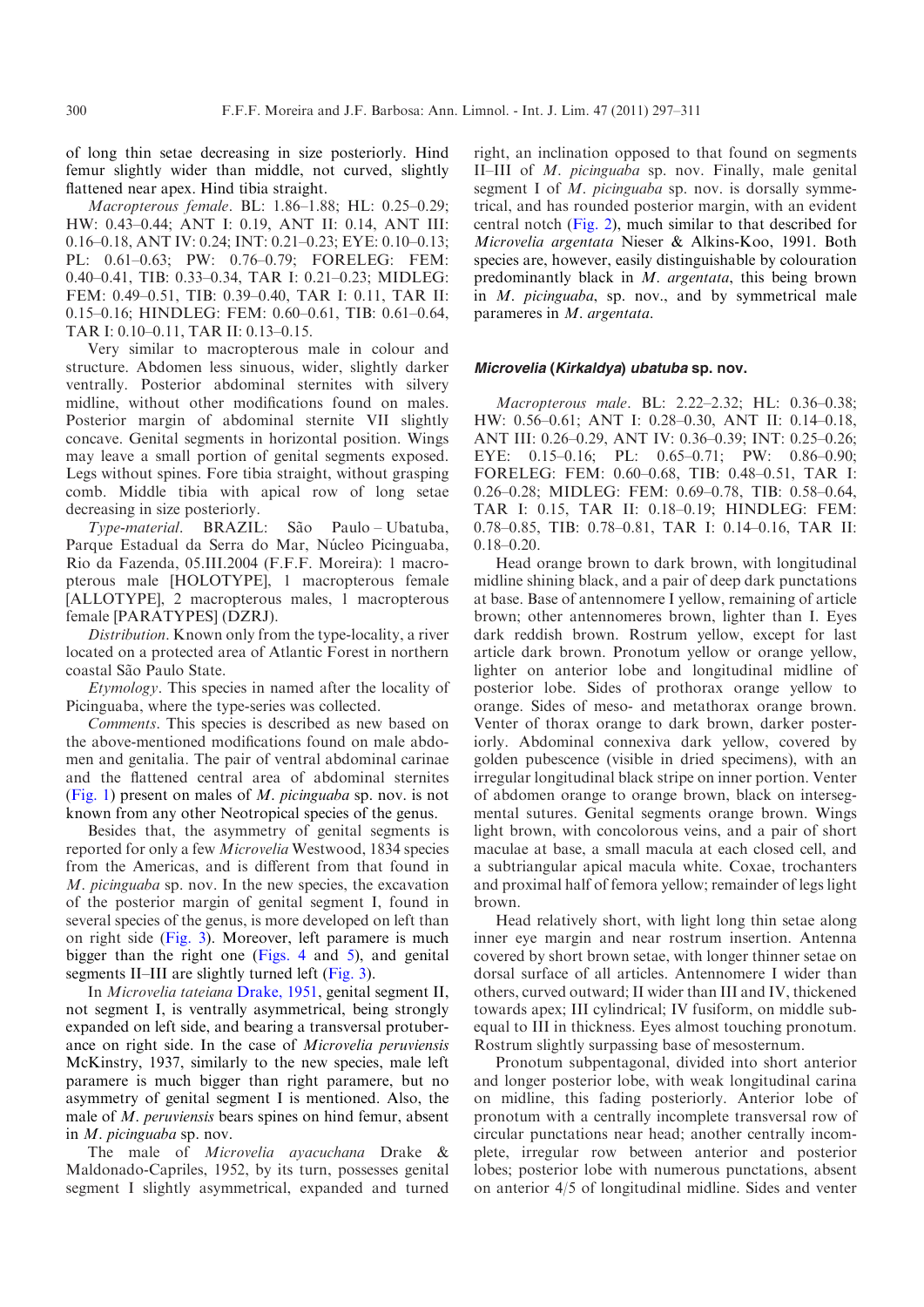of long thin setae decreasing in size posteriorly. Hind femur slightly wider than middle, not curved, slightly flattened near apex. Hind tibia straight.

Macropterous female. BL: 1.86–1.88; HL: 0.25–0.29; HW: 0.43–0.44; ANT I: 0.19, ANT II: 0.14, ANT III: 0.16–0.18, ANT IV: 0.24; INT: 0.21–0.23; EYE: 0.10–0.13; PL: 0.61–0.63; PW: 0.76–0.79; FORELEG: FEM: 0.40–0.41, TIB: 0.33–0.34, TAR I: 0.21–0.23; MIDLEG: FEM: 0.49–0.51, TIB: 0.39–0.40, TAR I: 0.11, TAR II: 0.15–0.16; HINDLEG: FEM: 0.60–0.61, TIB: 0.61–0.64, TAR I: 0.10–0.11, TAR II: 0.13–0.15.

Very similar to macropterous male in colour and structure. Abdomen less sinuous, wider, slightly darker ventrally. Posterior abdominal sternites with silvery midline, without other modifications found on males. Posterior margin of abdominal sternite VII slightly concave. Genital segments in horizontal position. Wings may leave a small portion of genital segments exposed. Legs without spines. Fore tibia straight, without grasping comb. Middle tibia with apical row of long setae decreasing in size posteriorly.

Type-material. BRAZIL: São Paulo – Ubatuba, Parque Estadual da Serra do Mar, Núcleo Picinguaba, Rio da Fazenda, 05.III.2004 (F.F.F. Moreira): 1 macropterous male [HOLOTYPE], 1 macropterous female [ALLOTYPE], 2 macropterous males, 1 macropterous female [PARATYPES] (DZRJ).

Distribution. Known only from the type-locality, a river located on a protected area of Atlantic Forest in northern coastal São Paulo State.

Etymology. This species in named after the locality of Picinguaba, where the type-series was collected.

Comments. This species is described as new based on the above-mentioned modifications found on male abdomen and genitalia. The pair of ventral abdominal carinae and the flattened central area of abdominal sternites ([Fig. 1\)](#page-2-0) present on males of  $M$ . *picinguaba* sp. nov. is not known from any other Neotropical species of the genus.

Besides that, the asymmetry of genital segments is reported for only a few Microvelia Westwood, 1834 species from the Americas, and is different from that found in M. picinguaba sp. nov. In the new species, the excavation of the posterior margin of genital segment I, found in several species of the genus, is more developed on left than on right side [\(Fig. 3](#page-2-0)). Moreover, left paramere is much bigger than the right one ([Figs. 4](#page-2-0) and [5\)](#page-2-0), and genital segments II–III are slightly turned left ([Fig. 3](#page-2-0)).

In Microvelia tateiana [Drake, 1951](#page-14-0), genital segment II, not segment I, is ventrally asymmetrical, being strongly expanded on left side, and bearing a transversal protuberance on right side. In the case of Microvelia peruviensis McKinstry, 1937, similarly to the new species, male left paramere is much bigger than right paramere, but no asymmetry of genital segment I is mentioned. Also, the male of M. peruviensis bears spines on hind femur, absent in M. picinguaba sp. nov.

The male of Microvelia ayacuchana Drake & Maldonado-Capriles, 1952, by its turn, possesses genital segment I slightly asymmetrical, expanded and turned right, an inclination opposed to that found on segments II–III of M. picinguaba sp. nov. Finally, male genital segment I of M. picinguaba sp. nov. is dorsally symmetrical, and has rounded posterior margin, with an evident central notch ([Fig. 2](#page-2-0)), much similar to that described for Microvelia argentata Nieser & Alkins-Koo, 1991. Both species are, however, easily distinguishable by colouration predominantly black in M. argentata, this being brown in *M. picinguaba*, sp. nov., and by symmetrical male parameres in M. argentata.

#### Microvelia (Kirkaldya) ubatuba sp. nov.

Macropterous male. BL: 2.22–2.32; HL: 0.36–0.38; HW: 0.56–0.61; ANT I: 0.28–0.30, ANT II: 0.14–0.18, ANT III: 0.26–0.29, ANT IV: 0.36–0.39; INT: 0.25–0.26; EYE: 0.15–0.16; PL: 0.65–0.71; PW: 0.86–0.90; FORELEG: FEM: 0.60–0.68, TIB: 0.48–0.51, TAR I: 0.26–0.28; MIDLEG: FEM: 0.69–0.78, TIB: 0.58–0.64, TAR I: 0.15, TAR II: 0.18–0.19; HINDLEG: FEM: 0.78–0.85, TIB: 0.78–0.81, TAR I: 0.14–0.16, TAR II: 0.18–0.20.

Head orange brown to dark brown, with longitudinal midline shining black, and a pair of deep dark punctations at base. Base of antennomere I yellow, remaining of article brown; other antennomeres brown, lighter than I. Eyes dark reddish brown. Rostrum yellow, except for last article dark brown. Pronotum yellow or orange yellow, lighter on anterior lobe and longitudinal midline of posterior lobe. Sides of prothorax orange yellow to orange. Sides of meso- and metathorax orange brown. Venter of thorax orange to dark brown, darker posteriorly. Abdominal connexiva dark yellow, covered by golden pubescence (visible in dried specimens), with an irregular longitudinal black stripe on inner portion. Venter of abdomen orange to orange brown, black on intersegmental sutures. Genital segments orange brown. Wings light brown, with concolorous veins, and a pair of short maculae at base, a small macula at each closed cell, and a subtriangular apical macula white. Coxae, trochanters and proximal half of femora yellow; remainder of legs light brown.

Head relatively short, with light long thin setae along inner eye margin and near rostrum insertion. Antenna covered by short brown setae, with longer thinner setae on dorsal surface of all articles. Antennomere I wider than others, curved outward; II wider than III and IV, thickened towards apex; III cylindrical; IV fusiform, on middle subequal to III in thickness. Eyes almost touching pronotum. Rostrum slightly surpassing base of mesosternum.

Pronotum subpentagonal, divided into short anterior and longer posterior lobe, with weak longitudinal carina on midline, this fading posteriorly. Anterior lobe of pronotum with a centrally incomplete transversal row of circular punctations near head; another centrally incomplete, irregular row between anterior and posterior lobes; posterior lobe with numerous punctations, absent on anterior 4/5 of longitudinal midline. Sides and venter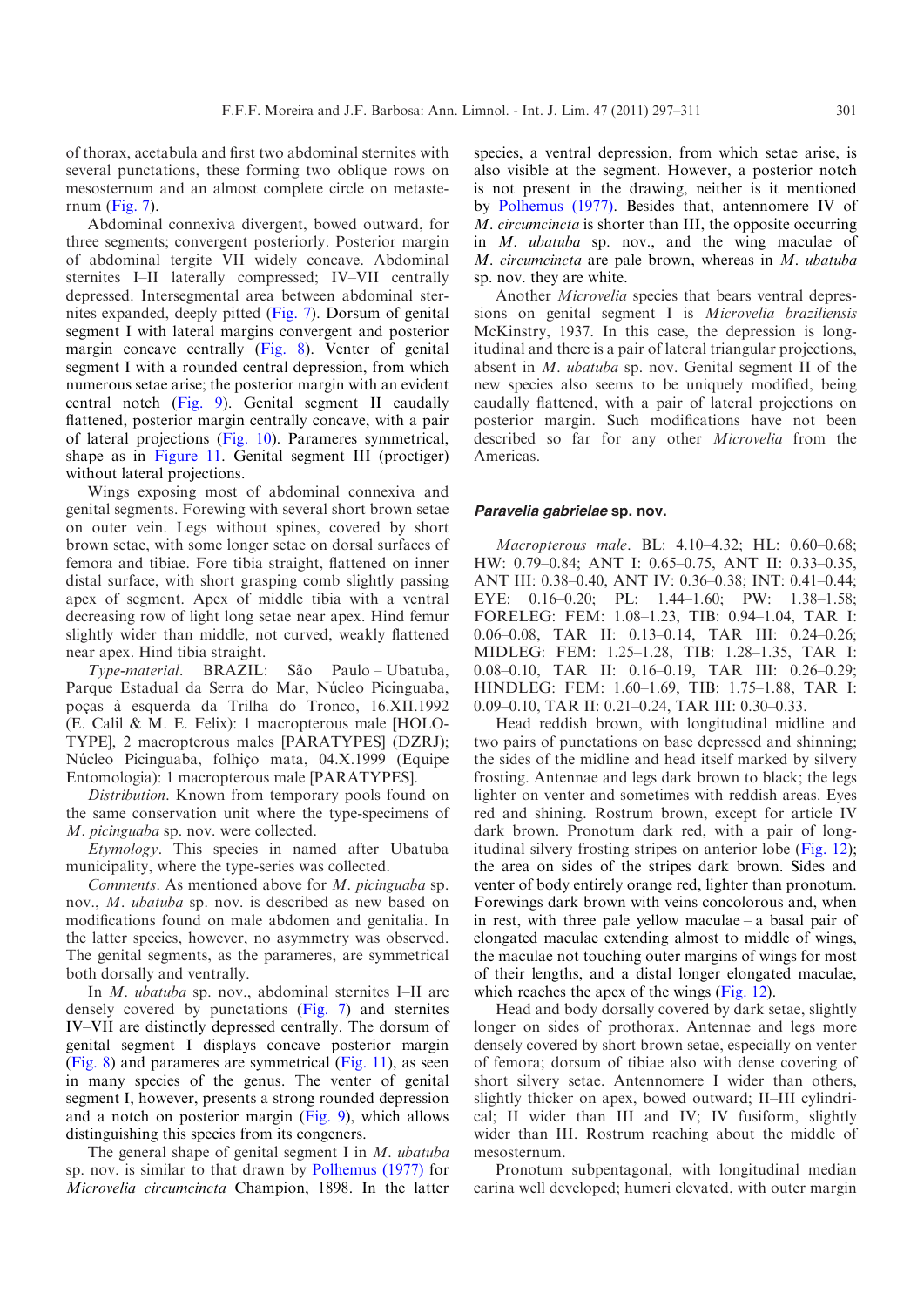of thorax, acetabula and first two abdominal sternites with several punctations, these forming two oblique rows on mesosternum and an almost complete circle on metasternum [\(Fig. 7](#page-2-0)).

Abdominal connexiva divergent, bowed outward, for three segments; convergent posteriorly. Posterior margin of abdominal tergite VII widely concave. Abdominal sternites I–II laterally compressed; IV–VII centrally depressed. Intersegmental area between abdominal sternites expanded, deeply pitted [\(Fig. 7\)](#page-2-0). Dorsum of genital segment I with lateral margins convergent and posterior margin concave centrally [\(Fig. 8\)](#page-2-0). Venter of genital segment I with a rounded central depression, from which numerous setae arise; the posterior margin with an evident central notch ([Fig. 9](#page-2-0)). Genital segment II caudally flattened, posterior margin centrally concave, with a pair of lateral projections ([Fig. 10](#page-2-0)). Parameres symmetrical, shape as in [Figure 11](#page-2-0). Genital segment III (proctiger) without lateral projections.

Wings exposing most of abdominal connexiva and genital segments. Forewing with several short brown setae on outer vein. Legs without spines, covered by short brown setae, with some longer setae on dorsal surfaces of femora and tibiae. Fore tibia straight, flattened on inner distal surface, with short grasping comb slightly passing apex of segment. Apex of middle tibia with a ventral decreasing row of light long setae near apex. Hind femur slightly wider than middle, not curved, weakly flattened near apex. Hind tibia straight.

Type-material. BRAZIL: São Paulo-Ubatuba, Parque Estadual da Serra do Mar, Núcleo Picinguaba, poças à esquerda da Trilha do Tronco, 16.XII.1992 (E. Calil & M. E. Felix): 1 macropterous male [HOLO-TYPE], 2 macropterous males [PARATYPES] (DZRJ); Núcleo Picinguaba, folhiço mata, 04.X.1999 (Equipe Entomologia): 1 macropterous male [PARATYPES].

Distribution. Known from temporary pools found on the same conservation unit where the type-specimens of M. picinguaba sp. nov. were collected.

Etymology. This species in named after Ubatuba municipality, where the type-series was collected.

Comments. As mentioned above for M. picinguaba sp. nov., M. ubatuba sp. nov. is described as new based on modifications found on male abdomen and genitalia. In the latter species, however, no asymmetry was observed. The genital segments, as the parameres, are symmetrical both dorsally and ventrally.

In M. ubatuba sp. nov., abdominal sternites I–II are densely covered by punctations [\(Fig. 7](#page-2-0)) and sternites IV–VII are distinctly depressed centrally. The dorsum of genital segment I displays concave posterior margin ([Fig. 8\)](#page-2-0) and parameres are symmetrical ([Fig. 11\)](#page-2-0), as seen in many species of the genus. The venter of genital segment I, however, presents a strong rounded depression and a notch on posterior margin ([Fig. 9\)](#page-2-0), which allows distinguishing this species from its congeners.

The general shape of genital segment I in  $M$ . ubatuba sp. nov. is similar to that drawn by [Polhemus \(1977\)](#page-14-0) for Microvelia circumcincta Champion, 1898. In the latter

species, a ventral depression, from which setae arise, is also visible at the segment. However, a posterior notch is not present in the drawing, neither is it mentioned by [Polhemus \(1977\)](#page-14-0). Besides that, antennomere IV of M. circumcincta is shorter than III, the opposite occurring in M. ubatuba sp. nov., and the wing maculae of M. circumcincta are pale brown, whereas in M. ubatuba sp. nov. they are white.

Another Microvelia species that bears ventral depressions on genital segment I is Microvelia braziliensis McKinstry, 1937. In this case, the depression is longitudinal and there is a pair of lateral triangular projections, absent in M. ubatuba sp. nov. Genital segment II of the new species also seems to be uniquely modified, being caudally flattened, with a pair of lateral projections on posterior margin. Such modifications have not been described so far for any other Microvelia from the Americas.

#### Paravelia gabrielae sp. nov.

Macropterous male. BL: 4.10–4.32; HL: 0.60–0.68; HW: 0.79–0.84; ANT I: 0.65–0.75, ANT II: 0.33–0.35, ANT III: 0.38–0.40, ANT IV: 0.36–0.38; INT: 0.41–0.44; EYE: 0.16–0.20; PL: 1.44–1.60; PW: 1.38–1.58; FORELEG: FEM: 1.08–1.23, TIB: 0.94–1.04, TAR I: 0.06–0.08, TAR II: 0.13–0.14, TAR III: 0.24–0.26; MIDLEG: FEM: 1.25–1.28, TIB: 1.28–1.35, TAR I: 0.08–0.10, TAR II: 0.16–0.19, TAR III: 0.26–0.29; HINDLEG: FEM: 1.60–1.69, TIB: 1.75–1.88, TAR I: 0.09–0.10, TAR II: 0.21–0.24, TAR III: 0.30–0.33.

Head reddish brown, with longitudinal midline and two pairs of punctations on base depressed and shinning; the sides of the midline and head itself marked by silvery frosting. Antennae and legs dark brown to black; the legs lighter on venter and sometimes with reddish areas. Eyes red and shining. Rostrum brown, except for article IV dark brown. Pronotum dark red, with a pair of longitudinal silvery frosting stripes on anterior lobe [\(Fig. 12](#page-2-0)); the area on sides of the stripes dark brown. Sides and venter of body entirely orange red, lighter than pronotum. Forewings dark brown with veins concolorous and, when in rest, with three pale yellow maculae – a basal pair of elongated maculae extending almost to middle of wings, the maculae not touching outer margins of wings for most of their lengths, and a distal longer elongated maculae, which reaches the apex of the wings ([Fig. 12\)](#page-2-0).

Head and body dorsally covered by dark setae, slightly longer on sides of prothorax. Antennae and legs more densely covered by short brown setae, especially on venter of femora; dorsum of tibiae also with dense covering of short silvery setae. Antennomere I wider than others, slightly thicker on apex, bowed outward; II–III cylindrical; II wider than III and IV; IV fusiform, slightly wider than III. Rostrum reaching about the middle of mesosternum.

Pronotum subpentagonal, with longitudinal median carina well developed; humeri elevated, with outer margin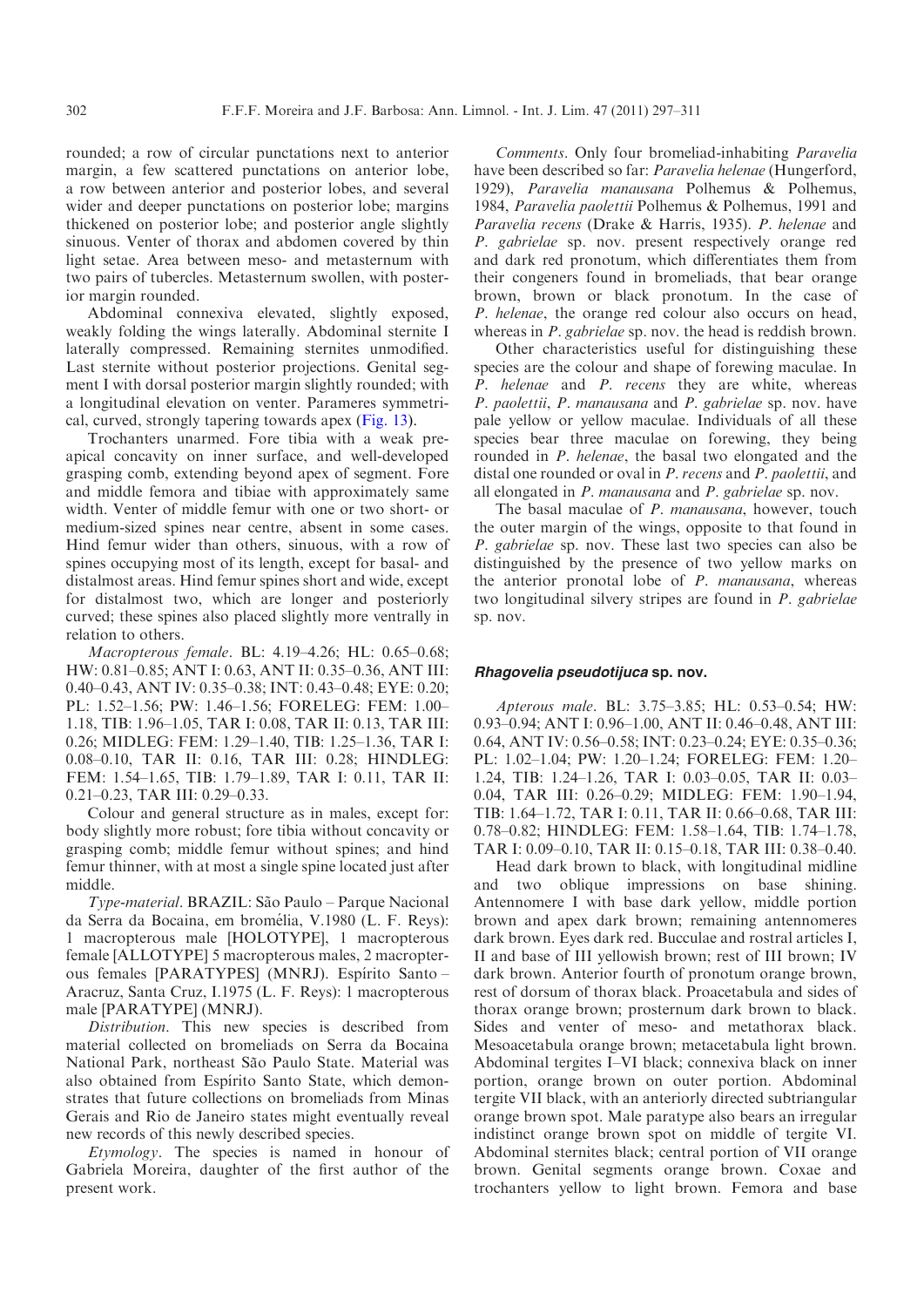rounded; a row of circular punctations next to anterior margin, a few scattered punctations on anterior lobe, a row between anterior and posterior lobes, and several wider and deeper punctations on posterior lobe; margins thickened on posterior lobe; and posterior angle slightly sinuous. Venter of thorax and abdomen covered by thin light setae. Area between meso- and metasternum with two pairs of tubercles. Metasternum swollen, with posterior margin rounded.

Abdominal connexiva elevated, slightly exposed, weakly folding the wings laterally. Abdominal sternite I laterally compressed. Remaining sternites unmodified. Last sternite without posterior projections. Genital segment I with dorsal posterior margin slightly rounded; with a longitudinal elevation on venter. Parameres symmetrical, curved, strongly tapering towards apex [\(Fig. 13\)](#page-2-0).

Trochanters unarmed. Fore tibia with a weak preapical concavity on inner surface, and well-developed grasping comb, extending beyond apex of segment. Fore and middle femora and tibiae with approximately same width. Venter of middle femur with one or two short- or medium-sized spines near centre, absent in some cases. Hind femur wider than others, sinuous, with a row of spines occupying most of its length, except for basal- and distalmost areas. Hind femur spines short and wide, except for distalmost two, which are longer and posteriorly curved; these spines also placed slightly more ventrally in relation to others.

Macropterous female. BL: 4.19–4.26; HL: 0.65–0.68; HW: 0.81–0.85; ANT I: 0.63, ANT II: 0.35–0.36, ANT III: 0.40–0.43, ANT IV: 0.35–0.38; INT: 0.43–0.48; EYE: 0.20; PL: 1.52–1.56; PW: 1.46–1.56; FORELEG: FEM: 1.00– 1.18, TIB: 1.96–1.05, TAR I: 0.08, TAR II: 0.13, TAR III: 0.26; MIDLEG: FEM: 1.29–1.40, TIB: 1.25–1.36, TAR I: 0.08–0.10, TAR II: 0.16, TAR III: 0.28; HINDLEG: FEM: 1.54–1.65, TIB: 1.79–1.89, TAR I: 0.11, TAR II: 0.21–0.23, TAR III: 0.29–0.33.

Colour and general structure as in males, except for: body slightly more robust; fore tibia without concavity or grasping comb; middle femur without spines; and hind femur thinner, with at most a single spine located just after middle.

Type-material. BRAZIL: São Paulo – Parque Nacional da Serra da Bocaina, em bromélia, V.1980 (L. F. Reys): 1 macropterous male [HOLOTYPE], 1 macropterous female [ALLOTYPE] 5 macropterous males, 2 macropterous females [PARATYPES] (MNRJ). Espírito Santo-Aracruz, Santa Cruz, I.1975 (L. F. Reys): 1 macropterous male [PARATYPE] (MNRJ).

Distribution. This new species is described from material collected on bromeliads on Serra da Bocaina National Park, northeast São Paulo State. Material was also obtained from Espírito Santo State, which demonstrates that future collections on bromeliads from Minas Gerais and Rio de Janeiro states might eventually reveal new records of this newly described species.

Etymology. The species is named in honour of Gabriela Moreira, daughter of the first author of the present work.

Comments. Only four bromeliad-inhabiting Paravelia have been described so far: Paravelia helenae (Hungerford, 1929), Paravelia manausana Polhemus & Polhemus, 1984, Paravelia paolettii Polhemus & Polhemus, 1991 and Paravelia recens (Drake & Harris, 1935). P. helenae and P. gabrielae sp. nov. present respectively orange red and dark red pronotum, which differentiates them from their congeners found in bromeliads, that bear orange brown, brown or black pronotum. In the case of P. helenae, the orange red colour also occurs on head, whereas in *P. gabrielae* sp. nov. the head is reddish brown.

Other characteristics useful for distinguishing these species are the colour and shape of forewing maculae. In P. helenae and P. recens they are white, whereas P. paolettii, P. manausana and P. gabrielae sp. nov. have pale yellow or yellow maculae. Individuals of all these species bear three maculae on forewing, they being rounded in P. helenae, the basal two elongated and the distal one rounded or oval in P. recens and P. paolettii, and all elongated in  $P$ . manausana and  $P$ . gabrielae sp. nov.

The basal maculae of P. manausana, however, touch the outer margin of the wings, opposite to that found in P. gabrielae sp. nov. These last two species can also be distinguished by the presence of two yellow marks on the anterior pronotal lobe of  $P$ . manausana, whereas two longitudinal silvery stripes are found in P. gabrielae sp. nov.

# Rhagovelia pseudotijuca sp. nov.

Apterous male. BL: 3.75–3.85; HL: 0.53–0.54; HW: 0.93–0.94; ANT I: 0.96–1.00, ANT II: 0.46–0.48, ANT III: 0.64, ANT IV: 0.56–0.58; INT: 0.23–0.24; EYE: 0.35–0.36; PL: 1.02–1.04; PW: 1.20–1.24; FORELEG: FEM: 1.20– 1.24, TIB: 1.24–1.26, TAR I: 0.03–0.05, TAR II: 0.03– 0.04, TAR III: 0.26–0.29; MIDLEG: FEM: 1.90–1.94, TIB: 1.64–1.72, TAR I: 0.11, TAR II: 0.66–0.68, TAR III: 0.78–0.82; HINDLEG: FEM: 1.58–1.64, TIB: 1.74–1.78, TAR I: 0.09–0.10, TAR II: 0.15–0.18, TAR III: 0.38–0.40.

Head dark brown to black, with longitudinal midline and two oblique impressions on base shining. Antennomere I with base dark yellow, middle portion brown and apex dark brown; remaining antennomeres dark brown. Eyes dark red. Bucculae and rostral articles I, II and base of III yellowish brown; rest of III brown; IV dark brown. Anterior fourth of pronotum orange brown, rest of dorsum of thorax black. Proacetabula and sides of thorax orange brown; prosternum dark brown to black. Sides and venter of meso- and metathorax black. Mesoacetabula orange brown; metacetabula light brown. Abdominal tergites I–VI black; connexiva black on inner portion, orange brown on outer portion. Abdominal tergite VII black, with an anteriorly directed subtriangular orange brown spot. Male paratype also bears an irregular indistinct orange brown spot on middle of tergite VI. Abdominal sternites black; central portion of VII orange brown. Genital segments orange brown. Coxae and trochanters yellow to light brown. Femora and base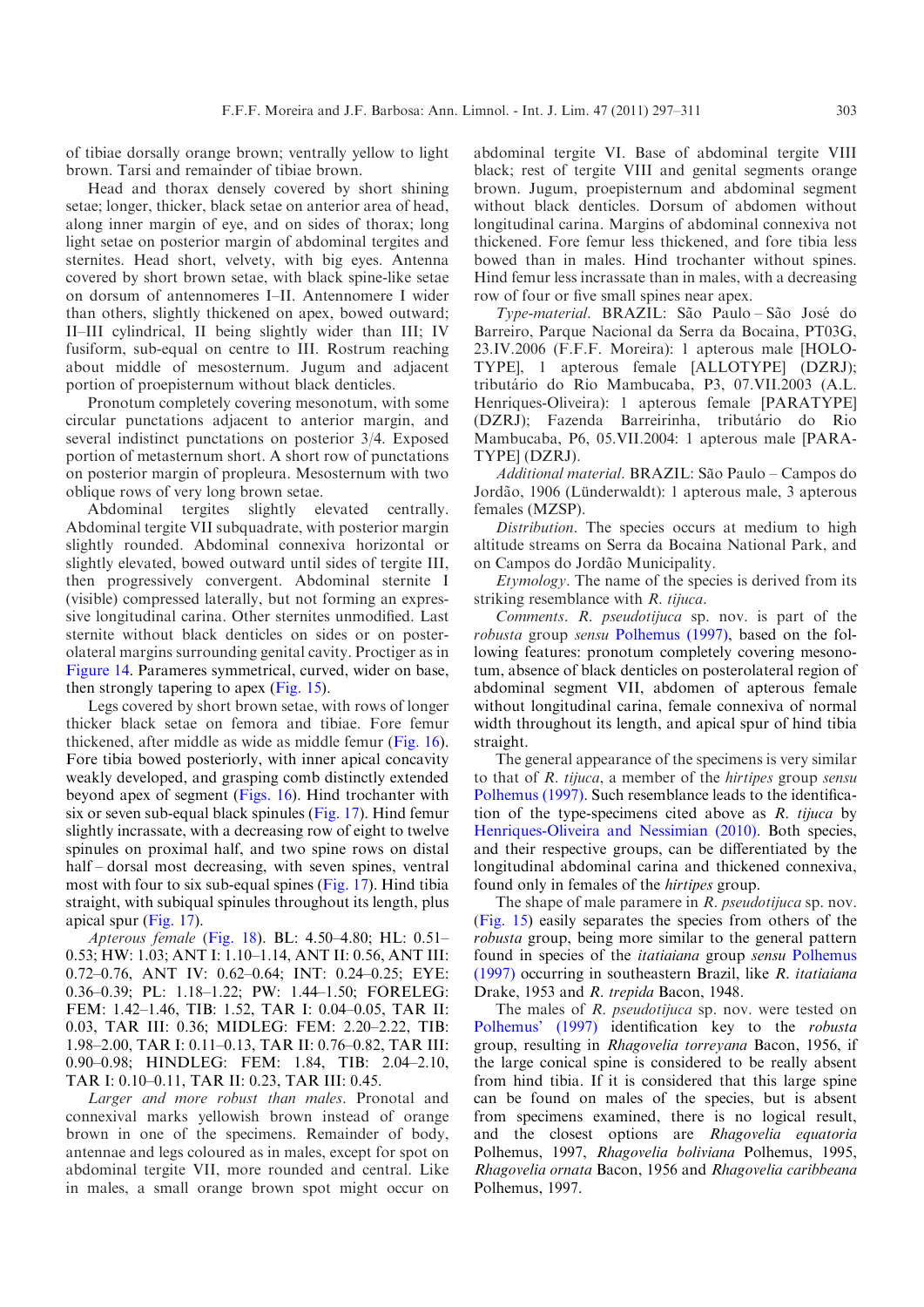of tibiae dorsally orange brown; ventrally yellow to light brown. Tarsi and remainder of tibiae brown.

Head and thorax densely covered by short shining setae; longer, thicker, black setae on anterior area of head, along inner margin of eye, and on sides of thorax; long light setae on posterior margin of abdominal tergites and sternites. Head short, velvety, with big eyes. Antenna covered by short brown setae, with black spine-like setae on dorsum of antennomeres I–II. Antennomere I wider than others, slightly thickened on apex, bowed outward; II–III cylindrical, II being slightly wider than III; IV fusiform, sub-equal on centre to III. Rostrum reaching about middle of mesosternum. Jugum and adjacent portion of proepisternum without black denticles.

Pronotum completely covering mesonotum, with some circular punctations adjacent to anterior margin, and several indistinct punctations on posterior 3/4. Exposed portion of metasternum short. A short row of punctations on posterior margin of propleura. Mesosternum with two oblique rows of very long brown setae.

Abdominal tergites slightly elevated centrally. Abdominal tergite VII subquadrate, with posterior margin slightly rounded. Abdominal connexiva horizontal or slightly elevated, bowed outward until sides of tergite III, then progressively convergent. Abdominal sternite I (visible) compressed laterally, but not forming an expressive longitudinal carina. Other sternites unmodified. Last sternite without black denticles on sides or on posterolateral margins surrounding genital cavity. Proctiger as in [Figure 14](#page-2-0). Parameres symmetrical, curved, wider on base, then strongly tapering to apex ([Fig. 15\)](#page-2-0).

Legs covered by short brown setae, with rows of longer thicker black setae on femora and tibiae. Fore femur thickened, after middle as wide as middle femur ([Fig. 16](#page-7-0)). Fore tibia bowed posteriorly, with inner apical concavity weakly developed, and grasping comb distinctly extended beyond apex of segment [\(Figs. 16](#page-7-0)). Hind trochanter with six or seven sub-equal black spinules [\(Fig. 17\)](#page-7-0). Hind femur slightly incrassate, with a decreasing row of eight to twelve spinules on proximal half, and two spine rows on distal half – dorsal most decreasing, with seven spines, ventral most with four to six sub-equal spines [\(Fig. 17\)](#page-7-0). Hind tibia straight, with subiqual spinules throughout its length, plus apical spur [\(Fig. 17\)](#page-7-0).

Apterous female ([Fig. 18](#page-7-0)). BL: 4.50–4.80; HL: 0.51– 0.53; HW: 1.03; ANT I: 1.10–1.14, ANT II: 0.56, ANT III: 0.72–0.76, ANT IV: 0.62–0.64; INT: 0.24–0.25; EYE: 0.36–0.39; PL: 1.18–1.22; PW: 1.44–1.50; FORELEG: FEM: 1.42–1.46, TIB: 1.52, TAR I: 0.04–0.05, TAR II: 0.03, TAR III: 0.36; MIDLEG: FEM: 2.20–2.22, TIB: 1.98–2.00, TAR I: 0.11–0.13, TAR II: 0.76–0.82, TAR III: 0.90–0.98; HINDLEG: FEM: 1.84, TIB: 2.04–2.10, TAR I: 0.10–0.11, TAR II: 0.23, TAR III: 0.45.

Larger and more robust than males. Pronotal and connexival marks yellowish brown instead of orange brown in one of the specimens. Remainder of body, antennae and legs coloured as in males, except for spot on abdominal tergite VII, more rounded and central. Like in males, a small orange brown spot might occur on

abdominal tergite VI. Base of abdominal tergite VIII black; rest of tergite VIII and genital segments orange brown. Jugum, proepisternum and abdominal segment without black denticles. Dorsum of abdomen without longitudinal carina. Margins of abdominal connexiva not thickened. Fore femur less thickened, and fore tibia less bowed than in males. Hind trochanter without spines. Hind femur less incrassate than in males, with a decreasing row of four or five small spines near apex.

Type-material. BRAZIL: São Paulo-São José do Barreiro, Parque Nacional da Serra da Bocaina, PT03G, 23.IV.2006 (F.F.F. Moreira): 1 apterous male [HOLO-TYPE], 1 apterous female [ALLOTYPE] (DZRJ); tributa´rio do Rio Mambucaba, P3, 07.VII.2003 (A.L. Henriques-Oliveira): 1 apterous female [PARATYPE] (DZRJ); Fazenda Barreirinha, tributário do Rio Mambucaba, P6, 05.VII.2004: 1 apterous male [PARA-TYPE] (DZRJ).

Additional material. BRAZIL: São Paulo – Campos do Jordão, 1906 (Lünderwaldt): 1 apterous male, 3 apterous females (MZSP).

Distribution. The species occurs at medium to high altitude streams on Serra da Bocaina National Park, and on Campos do Jordão Municipality.

Etymology. The name of the species is derived from its striking resemblance with *R. tijuca*.

Comments. R. pseudotijuca sp. nov. is part of the robusta group sensu [Polhemus \(1997\),](#page-14-0) based on the following features: pronotum completely covering mesonotum, absence of black denticles on posterolateral region of abdominal segment VII, abdomen of apterous female without longitudinal carina, female connexiva of normal width throughout its length, and apical spur of hind tibia straight.

The general appearance of the specimens is very similar to that of R. tijuca, a member of the hirtipes group sensu [Polhemus \(1997\).](#page-14-0) Such resemblance leads to the identification of the type-specimens cited above as  $R$ . tijuca by [Henriques-Oliveira and Nessimian \(2010\).](#page-14-0) Both species, and their respective groups, can be differentiated by the longitudinal abdominal carina and thickened connexiva, found only in females of the hirtipes group.

The shape of male paramere in R. *pseudotijuca* sp. nov. ([Fig. 15\)](#page-2-0) easily separates the species from others of the robusta group, being more similar to the general pattern found in species of the *itatiaiana* group *sensu* [Polhemus](#page-14-0) [\(1997\)](#page-14-0) occurring in southeastern Brazil, like R. itatiaiana Drake, 1953 and R. trepida Bacon, 1948.

The males of R. *pseudotijuca* sp. nov. were tested on [Polhemus' \(1997\)](#page-14-0) identification key to the robusta group, resulting in Rhagovelia torreyana Bacon, 1956, if the large conical spine is considered to be really absent from hind tibia. If it is considered that this large spine can be found on males of the species, but is absent from specimens examined, there is no logical result, and the closest options are Rhagovelia equatoria Polhemus, 1997, Rhagovelia boliviana Polhemus, 1995, Rhagovelia ornata Bacon, 1956 and Rhagovelia caribbeana Polhemus, 1997.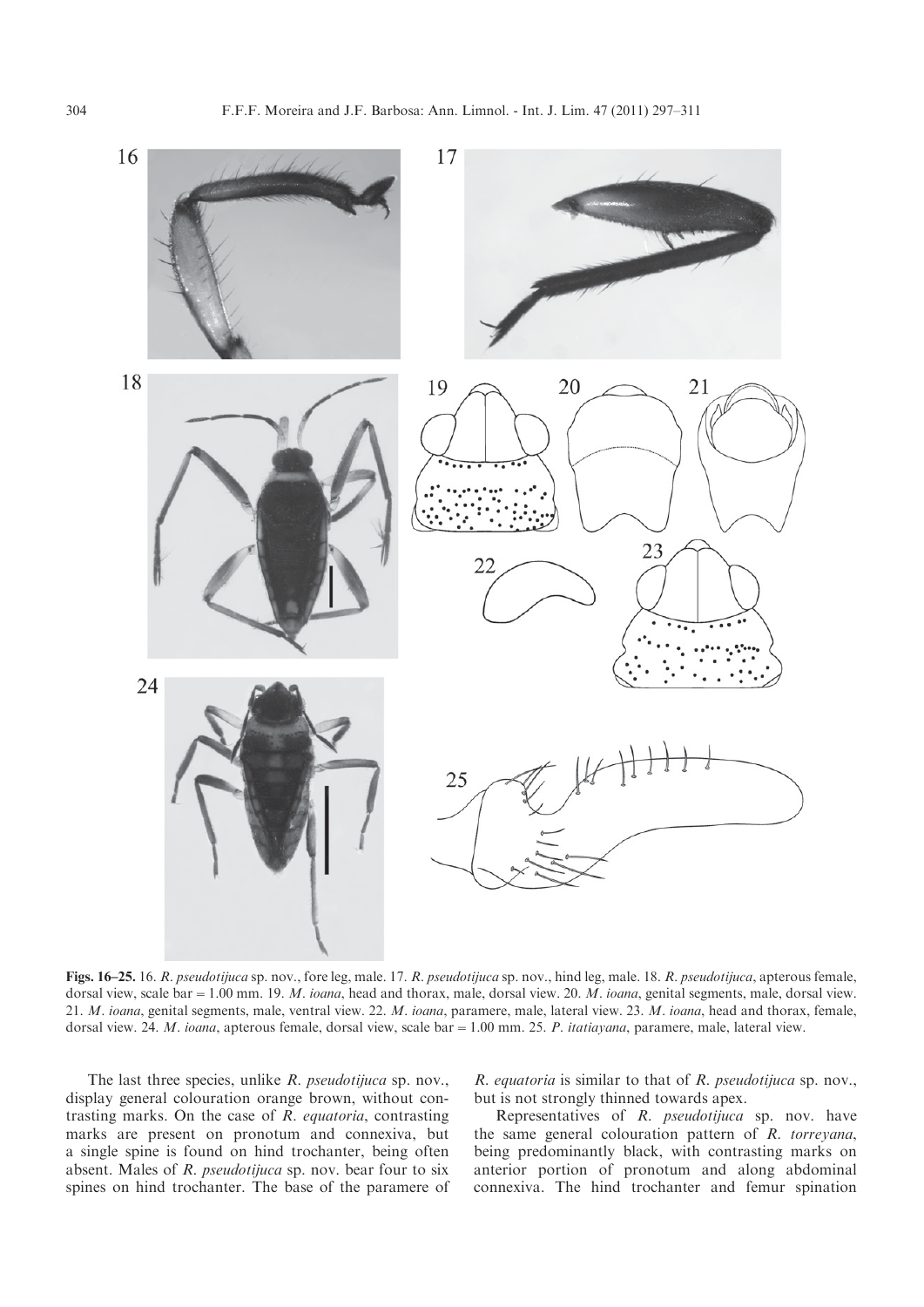<span id="page-7-0"></span>

Figs. 16–25. 16. R. pseudotijuca sp. nov., fore leg, male. 17. R. pseudotijuca sp. nov., hind leg, male. 18. R. pseudotijuca, apterous female, dorsal view, scale bar = 1.00 mm. 19. M. ioana, head and thorax, male, dorsal view. 20. M. ioana, genital segments, male, dorsal view. 21. M. ioana, genital segments, male, ventral view. 22. M. ioana, paramere, male, lateral view. 23. M. ioana, head and thorax, female, dorsal view. 24. M. ioana, apterous female, dorsal view, scale bar = 1.00 mm. 25. P. itatiayana, paramere, male, lateral view.

The last three species, unlike R. pseudotijuca sp. nov., display general colouration orange brown, without contrasting marks. On the case of R. equatoria, contrasting marks are present on pronotum and connexiva, but a single spine is found on hind trochanter, being often absent. Males of R. pseudotijuca sp. nov. bear four to six spines on hind trochanter. The base of the paramere of R. equatoria is similar to that of R. pseudotijuca sp. nov., but is not strongly thinned towards apex.

Representatives of R. pseudotijuca sp. nov. have the same general colouration pattern of R. torreyana, being predominantly black, with contrasting marks on anterior portion of pronotum and along abdominal connexiva. The hind trochanter and femur spination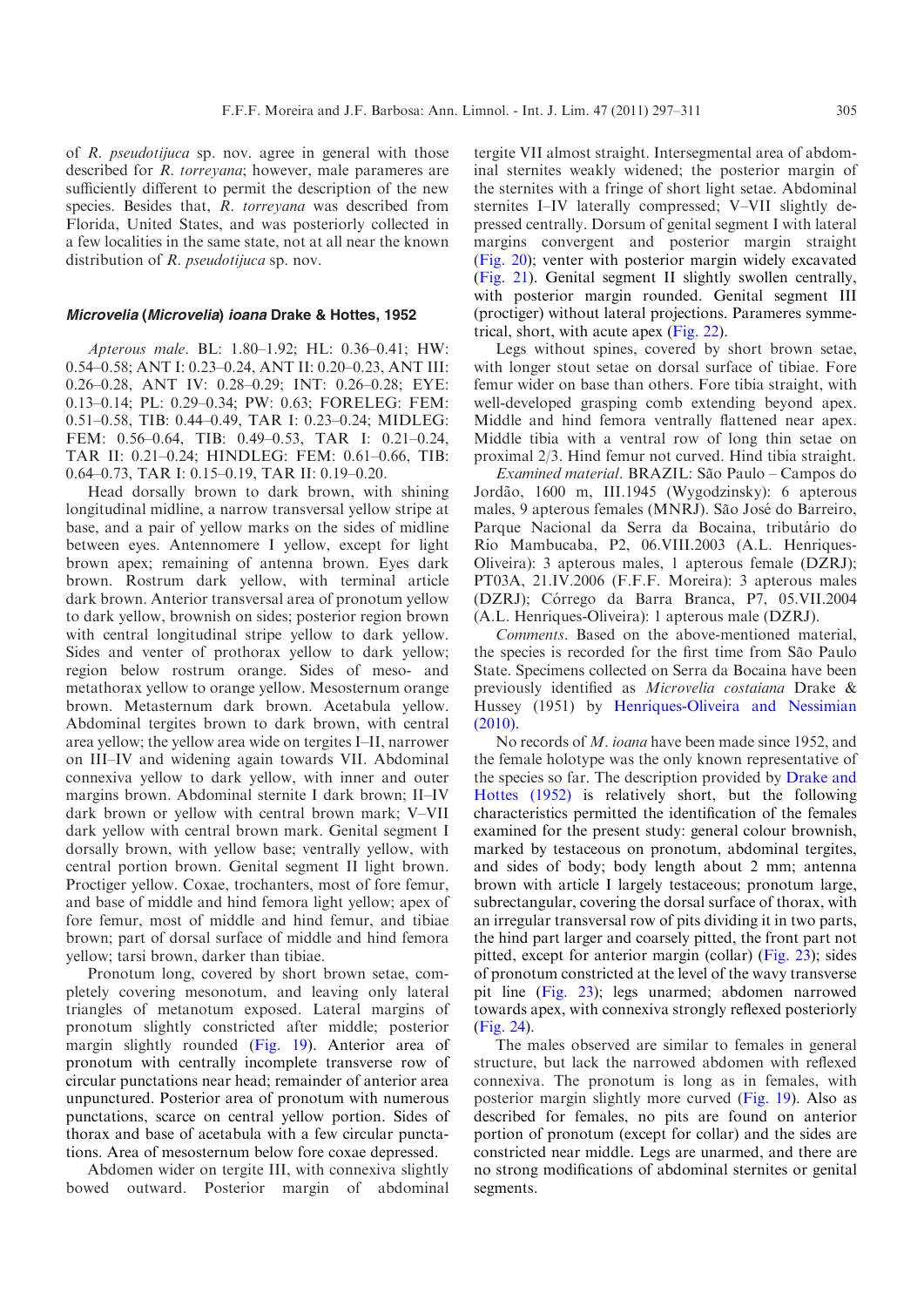of R. pseudotijuca sp. nov. agree in general with those described for *R. torreyana*; however, male parameres are sufficiently different to permit the description of the new species. Besides that, R. torreyana was described from Florida, United States, and was posteriorly collected in a few localities in the same state, not at all near the known distribution of *R. pseudotijuca* sp. nov.

### Microvelia (Microvelia) ioana Drake & Hottes, 1952

Apterous male. BL: 1.80–1.92; HL: 0.36–0.41; HW: 0.54–0.58; ANT I: 0.23–0.24, ANT II: 0.20–0.23, ANT III: 0.26–0.28, ANT IV: 0.28–0.29; INT: 0.26–0.28; EYE: 0.13–0.14; PL: 0.29–0.34; PW: 0.63; FORELEG: FEM: 0.51–0.58, TIB: 0.44–0.49, TAR I: 0.23–0.24; MIDLEG: FEM: 0.56–0.64, TIB: 0.49–0.53, TAR I: 0.21–0.24, TAR II: 0.21–0.24; HINDLEG: FEM: 0.61–0.66, TIB: 0.64–0.73, TAR I: 0.15–0.19, TAR II: 0.19–0.20.

Head dorsally brown to dark brown, with shining longitudinal midline, a narrow transversal yellow stripe at base, and a pair of yellow marks on the sides of midline between eyes. Antennomere I yellow, except for light brown apex; remaining of antenna brown. Eyes dark brown. Rostrum dark yellow, with terminal article dark brown. Anterior transversal area of pronotum yellow to dark yellow, brownish on sides; posterior region brown with central longitudinal stripe yellow to dark yellow. Sides and venter of prothorax yellow to dark yellow; region below rostrum orange. Sides of meso- and metathorax yellow to orange yellow. Mesosternum orange brown. Metasternum dark brown. Acetabula yellow. Abdominal tergites brown to dark brown, with central area yellow; the yellow area wide on tergites I–II, narrower on III–IV and widening again towards VII. Abdominal connexiva yellow to dark yellow, with inner and outer margins brown. Abdominal sternite I dark brown; II–IV dark brown or yellow with central brown mark; V–VII dark yellow with central brown mark. Genital segment I dorsally brown, with yellow base; ventrally yellow, with central portion brown. Genital segment II light brown. Proctiger yellow. Coxae, trochanters, most of fore femur, and base of middle and hind femora light yellow; apex of fore femur, most of middle and hind femur, and tibiae brown; part of dorsal surface of middle and hind femora yellow; tarsi brown, darker than tibiae.

Pronotum long, covered by short brown setae, completely covering mesonotum, and leaving only lateral triangles of metanotum exposed. Lateral margins of pronotum slightly constricted after middle; posterior margin slightly rounded [\(Fig. 19\)](#page-7-0). Anterior area of pronotum with centrally incomplete transverse row of circular punctations near head; remainder of anterior area unpunctured. Posterior area of pronotum with numerous punctations, scarce on central yellow portion. Sides of thorax and base of acetabula with a few circular punctations. Area of mesosternum below fore coxae depressed.

Abdomen wider on tergite III, with connexiva slightly bowed outward. Posterior margin of abdominal

tergite VII almost straight. Intersegmental area of abdominal sternites weakly widened; the posterior margin of the sternites with a fringe of short light setae. Abdominal sternites I–IV laterally compressed; V–VII slightly depressed centrally. Dorsum of genital segment I with lateral margins convergent and posterior margin straight ([Fig. 20\)](#page-7-0); venter with posterior margin widely excavated ([Fig. 21](#page-7-0)). Genital segment II slightly swollen centrally, with posterior margin rounded. Genital segment III (proctiger) without lateral projections. Parameres symmetrical, short, with acute apex ([Fig. 22\)](#page-7-0).

Legs without spines, covered by short brown setae, with longer stout setae on dorsal surface of tibiae. Fore femur wider on base than others. Fore tibia straight, with well-developed grasping comb extending beyond apex. Middle and hind femora ventrally flattened near apex. Middle tibia with a ventral row of long thin setae on proximal 2/3. Hind femur not curved. Hind tibia straight.

Examined material. BRAZIL: São Paulo – Campos do Jordão, 1600 m, III.1945 (Wygodzinsky): 6 apterous males, 9 apterous females (MNRJ). São José do Barreiro. Parque Nacional da Serra da Bocaina, tributário do Rio Mambucaba, P2, 06.VIII.2003 (A.L. Henriques-Oliveira): 3 apterous males, 1 apterous female (DZRJ); PT03A, 21.IV.2006 (F.F.F. Moreira): 3 apterous males (DZRJ); Córrego da Barra Branca, P7, 05.VII.2004 (A.L. Henriques-Oliveira): 1 apterous male (DZRJ).

Comments. Based on the above-mentioned material, the species is recorded for the first time from São Paulo State. Specimens collected on Serra da Bocaina have been previously identified as Microvelia costaiana Drake & Hussey (1951) by [Henriques-Oliveira and Nessimian](#page-14-0) [\(2010\).](#page-14-0)

No records of M. ioana have been made since 1952, and the female holotype was the only known representative of the species so far. The description provided by [Drake and](#page-14-0) [Hottes \(1952\)](#page-14-0) is relatively short, but the following characteristics permitted the identification of the females examined for the present study: general colour brownish, marked by testaceous on pronotum, abdominal tergites, and sides of body; body length about 2 mm; antenna brown with article I largely testaceous; pronotum large, subrectangular, covering the dorsal surface of thorax, with an irregular transversal row of pits dividing it in two parts, the hind part larger and coarsely pitted, the front part not pitted, except for anterior margin (collar) [\(Fig. 23\)](#page-7-0); sides of pronotum constricted at the level of the wavy transverse pit line ([Fig. 23](#page-7-0)); legs unarmed; abdomen narrowed towards apex, with connexiva strongly reflexed posteriorly ([Fig. 24](#page-7-0)).

The males observed are similar to females in general structure, but lack the narrowed abdomen with reflexed connexiva. The pronotum is long as in females, with posterior margin slightly more curved [\(Fig. 19](#page-7-0)). Also as described for females, no pits are found on anterior portion of pronotum (except for collar) and the sides are constricted near middle. Legs are unarmed, and there are no strong modifications of abdominal sternites or genital segments.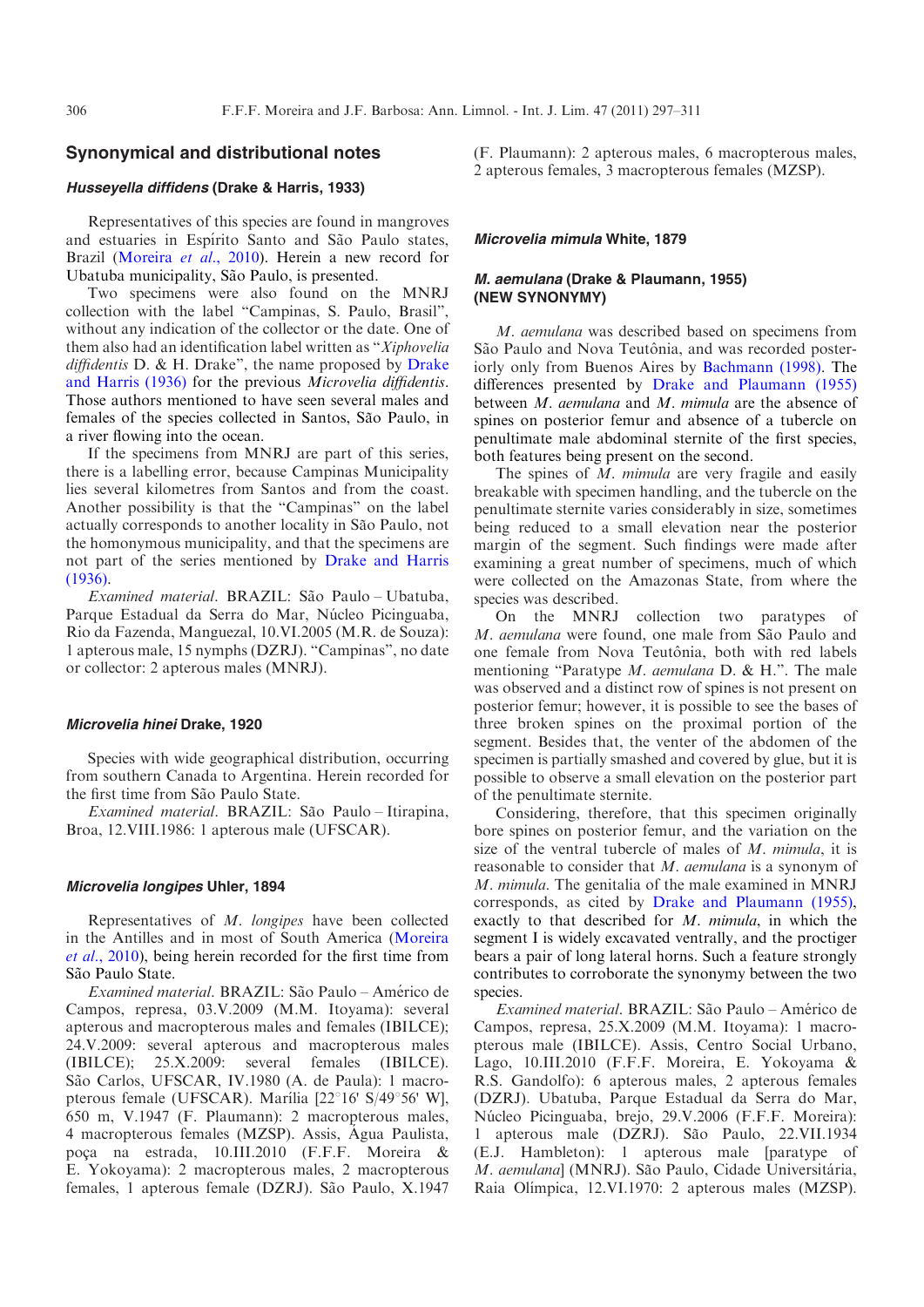# Synonymical and distributional notes

# Husseyella diffidens (Drake & Harris, 1933)

Representatives of this species are found in mangroves and estuaries in Espírito Santo and São Paulo states. Brazil ([Moreira](#page-14-0) et al., 2010). Herein a new record for Ubatuba municipality, São Paulo, is presented.

Two specimens were also found on the MNRJ collection with the label "Campinas, S. Paulo, Brasil", without any indication of the collector or the date. One of them also had an identification label written as "Xiphovelia diffidentis  $D.$  & H. [Drake](#page-14-0)", the name proposed by Drake [and Harris \(1936\)](#page-14-0) for the previous Microvelia diffidentis. Those authors mentioned to have seen several males and females of the species collected in Santos, São Paulo, in a river flowing into the ocean.

If the specimens from MNRJ are part of this series, there is a labelling error, because Campinas Municipality lies several kilometres from Santos and from the coast. Another possibility is that the "Campinas" on the label actually corresponds to another locality in São Paulo, not the homonymous municipality, and that the specimens are not part of the series mentioned by [Drake and Harris](#page-14-0) [\(1936\).](#page-14-0)

Examined material. BRAZIL: São Paulo – Ubatuba, Parque Estadual da Serra do Mar, Núcleo Picinguaba, Rio da Fazenda, Manguezal, 10.VI.2005 (M.R. de Souza): 1 apterous male, 15 nymphs (DZRJ). "Campinas", no date or collector: 2 apterous males (MNRJ).

### Microvelia hinei Drake, 1920

Species with wide geographical distribution, occurring from southern Canada to Argentina. Herein recorded for the first time from São Paulo State.

Examined material. BRAZIL: São Paulo – Itirapina, Broa, 12.VIII.1986: 1 apterous male (UFSCAR).

#### Microvelia longipes Uhler, 1894

Representatives of M. longipes have been collected in the Antilles and in most of South America [\(Moreira](#page-14-0) et al.[, 2010](#page-14-0)), being herein recorded for the first time from São Paulo State.

Examined material. BRAZIL: São Paulo - Américo de Campos, represa, 03.V.2009 (M.M. Itoyama): several apterous and macropterous males and females (IBILCE); 24.V.2009: several apterous and macropterous males (IBILCE); 25.X.2009: several females (IBILCE). São Carlos, UFSCAR, IV.1980 (A. de Paula): 1 macropterous female (UFSCAR). Marília [22°16' S/49°56' W], 650 m, V.1947 (F. Plaumann): 2 macropterous males, 4 macropterous females (MZSP). Assis, Agua Paulista, poça na estrada, 10.III.2010 (F.F.F. Moreira & E. Yokoyama): 2 macropterous males, 2 macropterous females, 1 apterous female (DZRJ). São Paulo, X.1947

(F. Plaumann): 2 apterous males, 6 macropterous males, 2 apterous females, 3 macropterous females (MZSP).

#### Microvelia mimula White, 1879

## M. aemulana (Drake & Plaumann, 1955) (NEW SYNONYMY)

M. aemulana was described based on specimens from São Paulo and Nova Teutônia, and was recorded posteriorly only from Buenos Aires by [Bachmann \(1998\)](#page-14-0). The differences presented by [Drake and Plaumann \(1955\)](#page-14-0) between M. aemulana and M. mimula are the absence of spines on posterior femur and absence of a tubercle on penultimate male abdominal sternite of the first species, both features being present on the second.

The spines of M. mimula are very fragile and easily breakable with specimen handling, and the tubercle on the penultimate sternite varies considerably in size, sometimes being reduced to a small elevation near the posterior margin of the segment. Such findings were made after examining a great number of specimens, much of which were collected on the Amazonas State, from where the species was described.

On the MNRJ collection two paratypes of M. aemulana were found, one male from São Paulo and one female from Nova Teutônia, both with red labels mentioning "Paratype *M. aemulana* D. & H.". The male was observed and a distinct row of spines is not present on posterior femur; however, it is possible to see the bases of three broken spines on the proximal portion of the segment. Besides that, the venter of the abdomen of the specimen is partially smashed and covered by glue, but it is possible to observe a small elevation on the posterior part of the penultimate sternite.

Considering, therefore, that this specimen originally bore spines on posterior femur, and the variation on the size of the ventral tubercle of males of M. mimula, it is reasonable to consider that M. aemulana is a synonym of M. mimula. The genitalia of the male examined in MNRJ corresponds, as cited by [Drake and Plaumann \(1955\),](#page-14-0) exactly to that described for M. mimula, in which the segment I is widely excavated ventrally, and the proctiger bears a pair of long lateral horns. Such a feature strongly contributes to corroborate the synonymy between the two species.

Examined material. BRAZIL: São Paulo – Américo de Campos, represa, 25.X.2009 (M.M. Itoyama): 1 macropterous male (IBILCE). Assis, Centro Social Urbano, Lago, 10.III.2010 (F.F.F. Moreira, E. Yokoyama & R.S. Gandolfo): 6 apterous males, 2 apterous females (DZRJ). Ubatuba, Parque Estadual da Serra do Mar, Núcleo Picinguaba, brejo, 29.V.2006 (F.F.F. Moreira): 1 apterous male (DZRJ). São Paulo, 22.VII.1934 (E.J. Hambleton): 1 apterous male [paratype of M. aemulana] (MNRJ). São Paulo, Cidade Universitária, Raia Olímpica, 12.VI.1970: 2 apterous males (MZSP).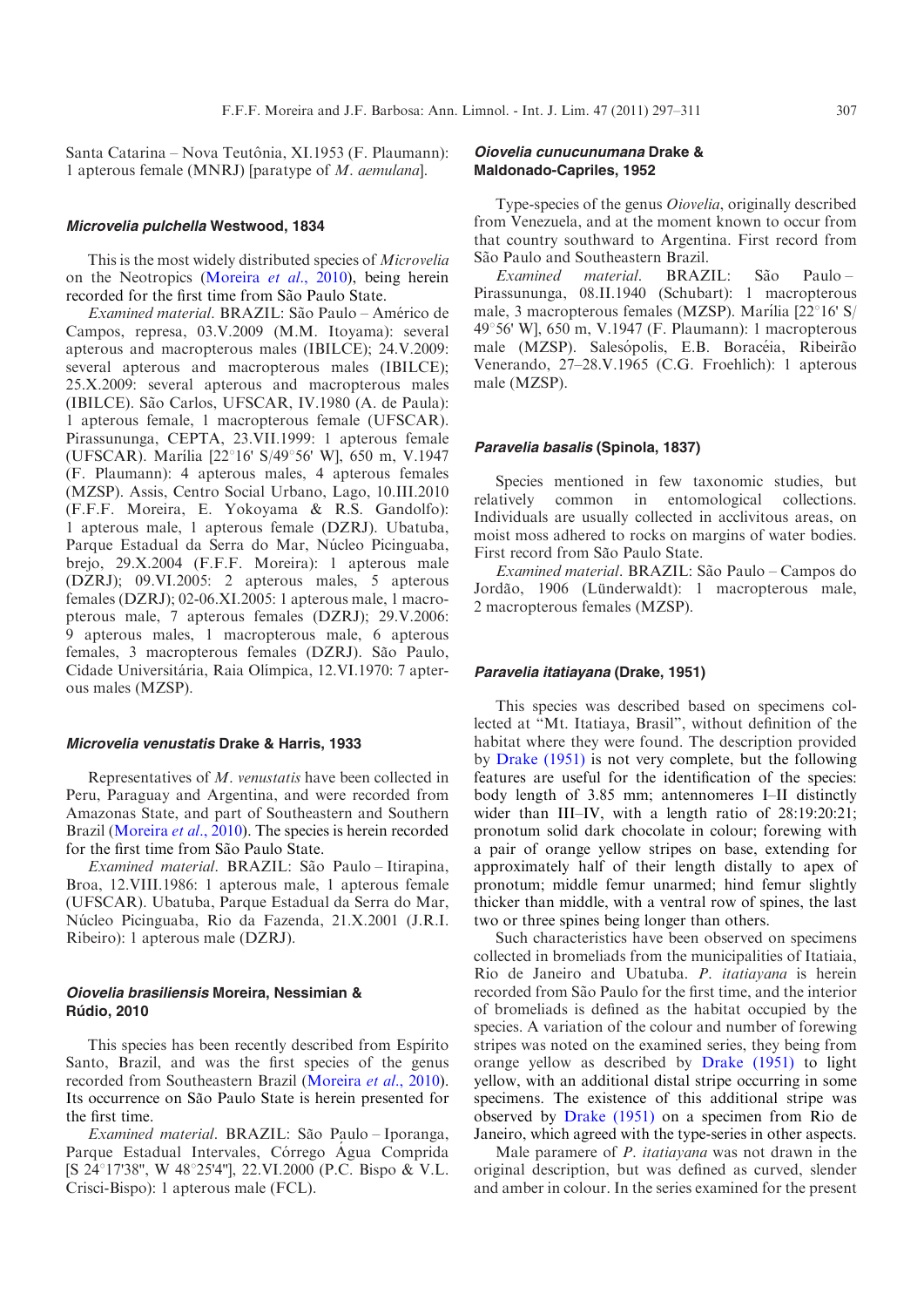Santa Catarina – Nova Teutônia, XI.1953 (F. Plaumann): 1 apterous female (MNRJ) [paratype of M. aemulana].

#### Microvelia pulchella Westwood, 1834

This is the most widely distributed species of Microvelia on the Neotropics [\(Moreira](#page-14-0) et al., 2010), being herein recorded for the first time from São Paulo State.

Examined material. BRAZIL: São Paulo - Américo de Campos, represa, 03.V.2009 (M.M. Itoyama): several apterous and macropterous males (IBILCE); 24.V.2009: several apterous and macropterous males (IBILCE); 25.X.2009: several apterous and macropterous males (IBILCE). São Carlos, UFSCAR, IV.1980 (A. de Paula): 1 apterous female, 1 macropterous female (UFSCAR). Pirassununga, CEPTA, 23.VII.1999: 1 apterous female (UFSCAR). Marília [22°16' S/49°56' W], 650 m, V.1947 (F. Plaumann): 4 apterous males, 4 apterous females (MZSP). Assis, Centro Social Urbano, Lago, 10.III.2010 (F.F.F. Moreira, E. Yokoyama & R.S. Gandolfo): 1 apterous male, 1 apterous female (DZRJ). Ubatuba, Parque Estadual da Serra do Mar, Núcleo Picinguaba, brejo, 29.X.2004 (F.F.F. Moreira): 1 apterous male (DZRJ); 09.VI.2005: 2 apterous males, 5 apterous females (DZRJ); 02-06.XI.2005: 1 apterous male, 1 macropterous male, 7 apterous females (DZRJ); 29.V.2006: 9 apterous males, 1 macropterous male, 6 apterous females, 3 macropterous females (DZRJ). São Paulo, Cidade Universitária, Raia Olímpica, 12.VI.1970: 7 apterous males (MZSP).

#### Microvelia venustatis Drake & Harris, 1933

Representatives of M. venustatis have been collected in Peru, Paraguay and Argentina, and were recorded from Amazonas State, and part of Southeastern and Southern Brazil [\(Moreira](#page-14-0) et al., 2010). The species is herein recorded for the first time from São Paulo State.

Examined material. BRAZIL: São Paulo – Itirapina, Broa, 12.VIII.1986: 1 apterous male, 1 apterous female (UFSCAR). Ubatuba, Parque Estadual da Serra do Mar, Núcleo Picinguaba, Rio da Fazenda, 21.X.2001 (J.R.I. Ribeiro): 1 apterous male (DZRJ).

## Oiovelia brasiliensis Moreira, Nessimian & **Rúdio, 2010**

This species has been recently described from Espírito Santo, Brazil, and was the first species of the genus recorded from Southeastern Brazil [\(Moreira](#page-14-0) et al., 2010). Its occurrence on São Paulo State is herein presented for the first time.

Examined material. BRAZIL: São Paulo – Iporanga, Parque Estadual Intervales, Córrego Água Comprida [S 24°17'38", W 48°25'4"], 22.VI.2000 (P.C. Bispo & V.L. Crisci-Bispo): 1 apterous male (FCL).

## Oiovelia cunucunumana Drake & Maldonado-Capriles, 1952

Type-species of the genus Oiovelia, originally described from Venezuela, and at the moment known to occur from that country southward to Argentina. First record from São Paulo and Southeastern Brazil.

 $Examine$ d material. BRAZIL: São Paulo-Pirassununga, 08.II.1940 (Schubart): 1 macropterous male, 3 macropterous females (MZSP). Marília  $[22^{\circ}16^{\circ} S/$ 49°56' W], 650 m, V.1947 (F. Plaumann): 1 macropterous male (MZSP). Salesópolis, E.B. Boracéia, Ribeirão Venerando, 27–28.V.1965 (C.G. Froehlich): 1 apterous male (MZSP).

## Paravelia basalis (Spinola, 1837)

Species mentioned in few taxonomic studies, but relatively common in entomological collections. Individuals are usually collected in acclivitous areas, on moist moss adhered to rocks on margins of water bodies. First record from São Paulo State.

Examined material. BRAZIL: São Paulo – Campos do Jordão, 1906 (Lünderwaldt): 1 macropterous male, 2 macropterous females (MZSP).

## Paravelia itatiayana (Drake, 1951)

This species was described based on specimens collected at "Mt. Itatiaya, Brasil", without definition of the habitat where they were found. The description provided by [Drake \(1951\)](#page-14-0) is not very complete, but the following features are useful for the identification of the species: body length of 3.85 mm; antennomeres I–II distinctly wider than III–IV, with a length ratio of 28:19:20:21; pronotum solid dark chocolate in colour; forewing with a pair of orange yellow stripes on base, extending for approximately half of their length distally to apex of pronotum; middle femur unarmed; hind femur slightly thicker than middle, with a ventral row of spines, the last two or three spines being longer than others.

Such characteristics have been observed on specimens collected in bromeliads from the municipalities of Itatiaia, Rio de Janeiro and Ubatuba. P. itatiayana is herein recorded from São Paulo for the first time, and the interior of bromeliads is defined as the habitat occupied by the species. A variation of the colour and number of forewing stripes was noted on the examined series, they being from orange yellow as described by [Drake \(1951\)](#page-14-0) to light yellow, with an additional distal stripe occurring in some specimens. The existence of this additional stripe was observed by [Drake \(1951\)](#page-14-0) on a specimen from Rio de Janeiro, which agreed with the type-series in other aspects.

Male paramere of P. itatiayana was not drawn in the original description, but was defined as curved, slender and amber in colour. In the series examined for the present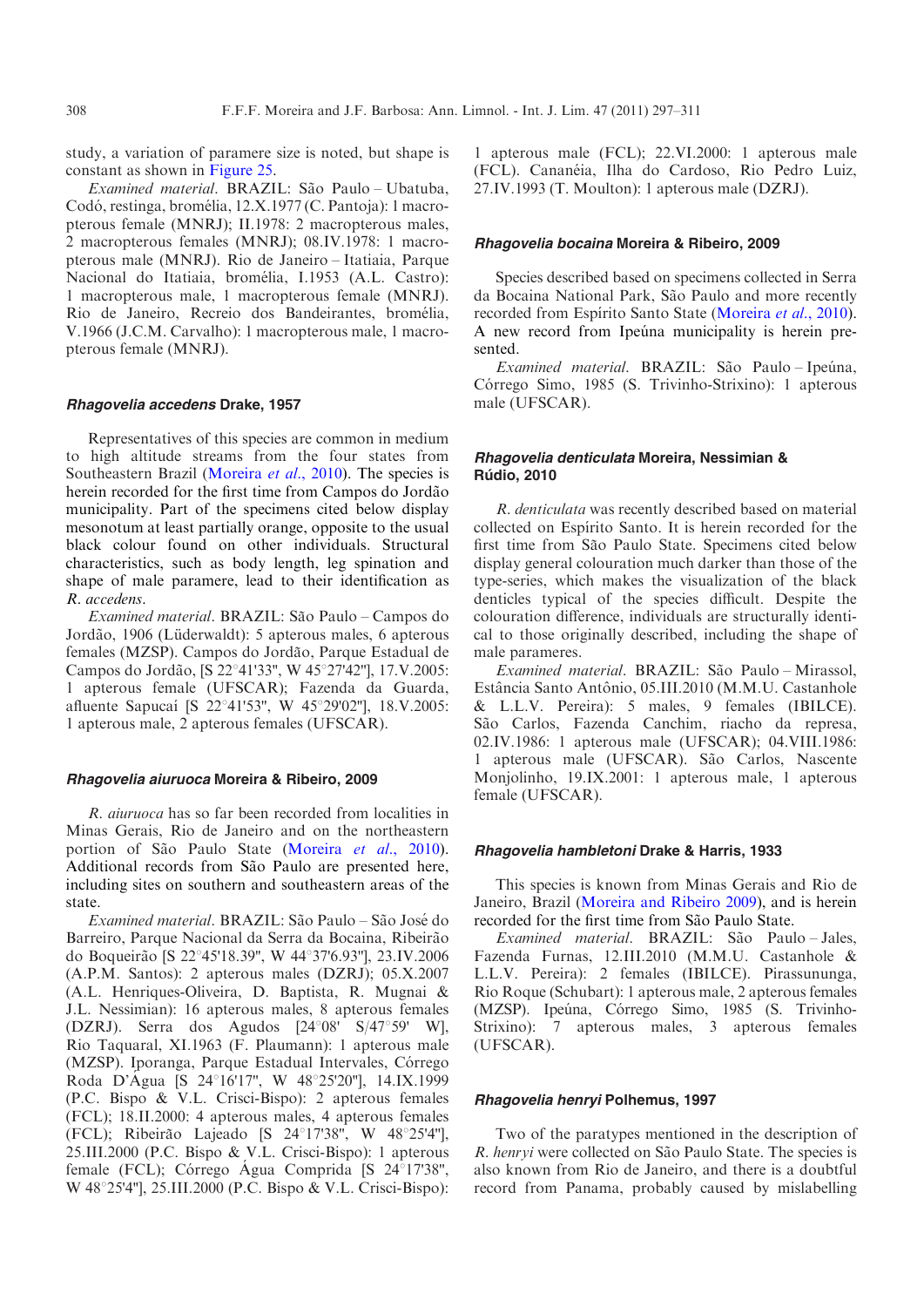study, a variation of paramere size is noted, but shape is constant as shown in [Figure 25](#page-7-0).

Examined material. BRAZIL: São Paulo – Ubatuba, Codó, restinga, bromélia, 12.X.1977 (C. Pantoja): 1 macropterous female (MNRJ); II.1978: 2 macropterous males, 2 macropterous females (MNRJ); 08.IV.1978: 1 macropterous male (MNRJ). Rio de Janeiro – Itatiaia, Parque Nacional do Itatiaia, bromélia, I.1953 (A.L. Castro): 1 macropterous male, 1 macropterous female (MNRJ). Rio de Janeiro, Recreio dos Bandeirantes, bromélia, V.1966 (J.C.M. Carvalho): 1 macropterous male, 1 macropterous female (MNRJ).

## Rhagovelia accedens Drake, 1957

Representatives of this species are common in medium to high altitude streams from the four states from Southeastern Brazil [\(Moreira](#page-14-0) et al., 2010). The species is herein recorded for the first time from Campos do Jordão municipality. Part of the specimens cited below display mesonotum at least partially orange, opposite to the usual black colour found on other individuals. Structural characteristics, such as body length, leg spination and shape of male paramere, lead to their identification as R. accedens.

Examined material. BRAZIL: São Paulo – Campos do Jordão, 1906 (Lüderwaldt): 5 apterous males, 6 apterous females (MZSP). Campos do Jordão, Parque Estadual de Campos do Jordão, [S 22°41'33", W 45°27'42"], 17.V.2005: 1 apterous female (UFSCAR); Fazenda da Guarda, afluente Sapucaí [S 22°41'53", W 45°29'02"], 18.V.2005: 1 apterous male, 2 apterous females (UFSCAR).

### Rhagovelia aiuruoca Moreira & Ribeiro, 2009

R. aiuruoca has so far been recorded from localities in Minas Gerais, Rio de Janeiro and on the northeastern portion of São Paulo State ([Moreira](#page-14-0) et al., 2010). Additional records from São Paulo are presented here, including sites on southern and southeastern areas of the state.

Examined material. BRAZIL: São Paulo – São José do Barreiro, Parque Nacional da Serra da Bocaina, Ribeirão do Boqueirão [S 22°45'18.39", W 44°37'6.93"], 23.IV.2006 (A.P.M. Santos): 2 apterous males (DZRJ); 05.X.2007 (A.L. Henriques-Oliveira, D. Baptista, R. Mugnai & J.L. Nessimian): 16 apterous males, 8 apterous females (DZRJ). Serra dos Agudos  $[24^{\circ}08' \quad S/47^{\circ}59' \quad W]$ , Rio Taquaral, XI.1963 (F. Plaumann): 1 apterous male (MZSP). Iporanga, Parque Estadual Intervales, Córrego Roda D'Água [S 24°16'17", W 48°25'20"], 14.IX.1999 (P.C. Bispo & V.L. Crisci-Bispo): 2 apterous females (FCL); 18.II.2000: 4 apterous males, 4 apterous females (FCL); Ribeirão Lajeado [S 24°17'38", W 48°25'4"], 25.III.2000 (P.C. Bispo & V.L. Crisci-Bispo): 1 apterous female (FCL); Córrego Água Comprida  $[S\ 24^{\circ}17'38'']$ , W  $48^{\circ}25'4''$ ], 25.III.2000 (P.C. Bispo & V.L. Crisci-Bispo): 1 apterous male (FCL); 22.VI.2000: 1 apterous male (FCL). Cananéia, Ilha do Cardoso, Rio Pedro Luiz, 27.IV.1993 (T. Moulton): 1 apterous male (DZRJ).

#### Rhagovelia bocaina Moreira & Ribeiro, 2009

Species described based on specimens collected in Serra da Bocaina National Park, São Paulo and more recently recorded from Espírito Santo State [\(Moreira](#page-14-0) et al., 2010). A new record from Ipeúna municipality is herein presented.

Examined material. BRAZIL: São Paulo-Ipeúna, Córrego Simo, 1985 (S. Trivinho-Strixino): 1 apterous male (UFSCAR).

# Rhagovelia denticulata Moreira, Nessimian & **Rúdio, 2010**

R. denticulata was recently described based on material collected on Espírito Santo. It is herein recorded for the first time from São Paulo State. Specimens cited below display general colouration much darker than those of the type-series, which makes the visualization of the black denticles typical of the species difficult. Despite the colouration difference, individuals are structurally identical to those originally described, including the shape of male parameres.

Examined material. BRAZIL: São Paulo – Mirassol, Estância Santo Antônio, 05.III.2010 (M.M.U. Castanhole & L.L.V. Pereira): 5 males, 9 females (IBILCE). São Carlos, Fazenda Canchim, riacho da represa, 02.IV.1986: 1 apterous male (UFSCAR); 04.VIII.1986: 1 apterous male (UFSCAR). São Carlos, Nascente Monjolinho, 19.IX.2001: 1 apterous male, 1 apterous female (UFSCAR).

#### Rhagovelia hambletoni Drake & Harris, 1933

This species is known from Minas Gerais and Rio de Janeiro, Brazil [\(Moreira and Ribeiro 2009](#page-14-0)), and is herein recorded for the first time from São Paulo State.

Examined material. BRAZIL: São Paulo-Jales, Fazenda Furnas, 12.III.2010 (M.M.U. Castanhole & L.L.V. Pereira): 2 females (IBILCE). Pirassununga, Rio Roque (Schubart): 1 apterous male, 2 apterous females (MZSP). Ipeúna, Córrego Simo, 1985 (S. Trivinho-Strixino): 7 apterous males, 3 apterous females (UFSCAR).

#### Rhagovelia henryi Polhemus, 1997

Two of the paratypes mentioned in the description of R. henryi were collected on São Paulo State. The species is also known from Rio de Janeiro, and there is a doubtful record from Panama, probably caused by mislabelling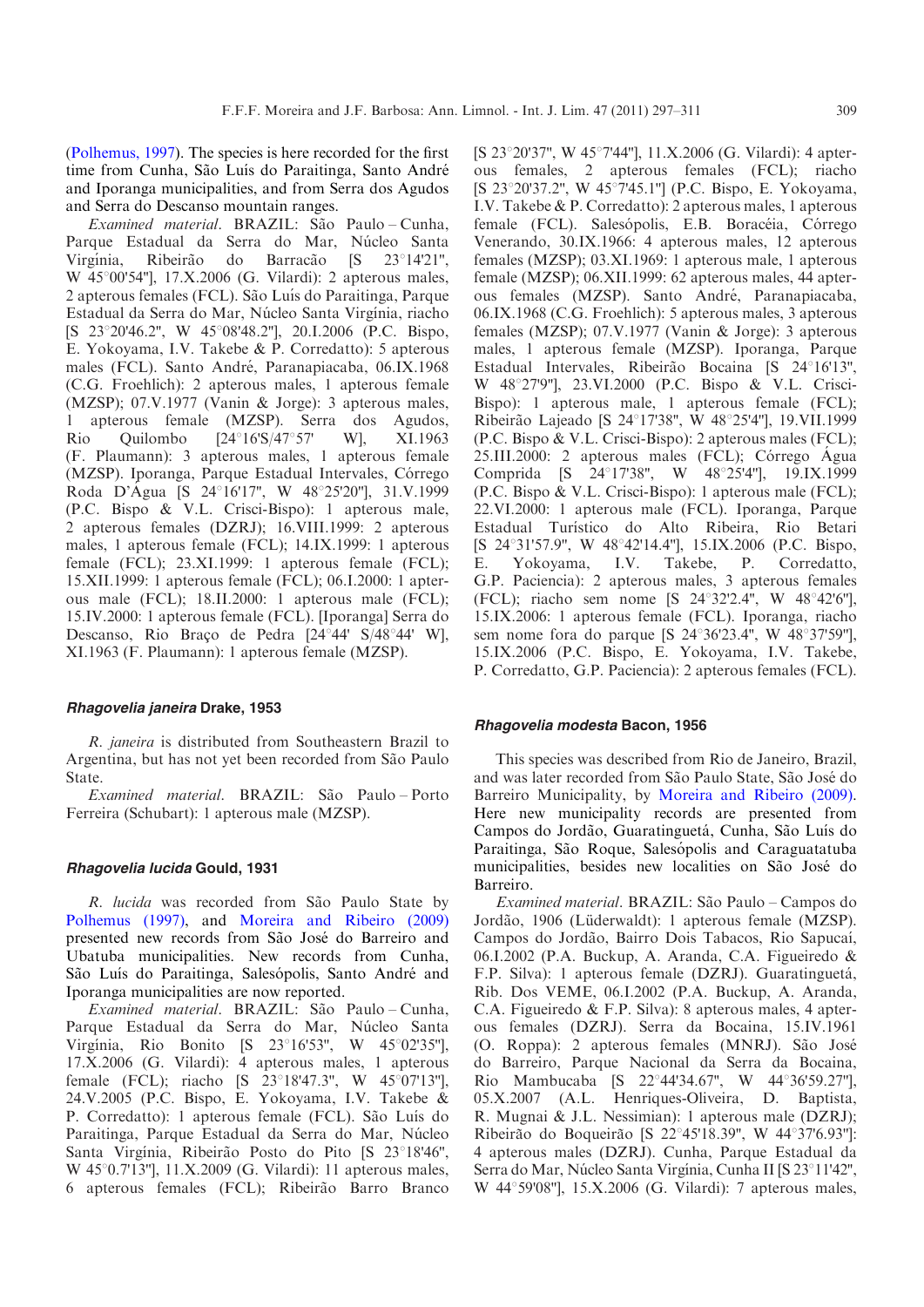([Polhemus, 1997](#page-14-0)). The species is here recorded for the first time from Cunha, São Luís do Paraitinga, Santo André and Iporanga municipalities, and from Serra dos Agudos and Serra do Descanso mountain ranges.

Examined material. BRAZIL: São Paulo-Cunha, Parque Estadual da Serra do Mar, Núcleo Santa Virgínia, Ribeirão do Barração [S 23°14'21", W 45°00'54"], 17.X.2006 (G. Vilardi): 2 apterous males, 2 apterous females (FCL). São Luís do Paraitinga, Parque Estadual da Serra do Mar, Núcleo Santa Virgínia, riacho [S 23°20'46.2", W 45°08'48.2"], 20.I.2006 (P.C. Bispo, E. Yokoyama, I.V. Takebe & P. Corredatto): 5 apterous males (FCL). Santo André, Paranapiacaba, 06.IX.1968 (C.G. Froehlich): 2 apterous males, 1 apterous female (MZSP); 07.V.1977 (Vanin & Jorge): 3 apterous males, 1 apterous female (MZSP). Serra dos Agudos, Rio Quilombo  $[24^{\circ}16'S/47^{\circ}57'$  W], XI.1963 (F. Plaumann): 3 apterous males, 1 apterous female (MZSP). Iporanga, Parque Estadual Intervales, Córrego Roda D'Agua [S 24°16'17", W 48°25'20"], 31.V.1999 (P.C. Bispo & V.L. Crisci-Bispo): 1 apterous male, 2 apterous females (DZRJ); 16.VIII.1999: 2 apterous males, 1 apterous female (FCL); 14.IX.1999: 1 apterous female (FCL); 23.XI.1999: 1 apterous female (FCL); 15.XII.1999: 1 apterous female (FCL); 06.I.2000: 1 apterous male (FCL); 18.II.2000: 1 apterous male (FCL); 15.IV.2000: 1 apterous female (FCL). [Iporanga] Serra do Descanso, Rio Braço de Pedra [24°44' S/48°44' W], XI.1963 (F. Plaumann): 1 apterous female (MZSP).

## Rhagovelia janeira Drake, 1953

R. janeira is distributed from Southeastern Brazil to Argentina, but has not yet been recorded from São Paulo State.

Examined material. BRAZIL: São Paulo-Porto Ferreira (Schubart): 1 apterous male (MZSP).

## Rhagovelia lucida Gould, 1931

R. lucida was recorded from São Paulo State by [Polhemus \(1997\),](#page-14-0) and [Moreira and Ribeiro \(2009\)](#page-14-0) presented new records from São José do Barreiro and Ubatuba municipalities. New records from Cunha, São Luís do Paraitinga, Salesópolis, Santo André and Iporanga municipalities are now reported.

Examined material. BRAZIL: São Paulo – Cunha, Parque Estadual da Serra do Mar, Núcleo Santa Virgínia, Rio Bonito [S 23°16'53", W 45°02'35"], 17.X.2006 (G. Vilardi): 4 apterous males, 1 apterous female (FCL); riacho [S 23°18'47.3", W 45°07'13"], 24.V.2005 (P.C. Bispo, E. Yokoyama, I.V. Takebe & P. Corredatto): 1 apterous female (FCL). São Luís do Paraitinga, Parque Estadual da Serra do Mar, Núcleo Santa Virgínia, Ribeirão Posto do Pito [S 23°18'46",  $W$  45 $^{\circ}$ 0.7'13"], 11.X.2009 (G. Vilardi): 11 apterous males, 6 apterous females (FCL); Ribeirão Barro Branco [S 23°20'37", W 45°7'44"], 11.X.2006 (G. Vilardi): 4 apterous females, 2 apterous females (FCL); riacho [S 23°20'37.2", W 45°7'45.1"] (P.C. Bispo, E. Yokoyama, I.V. Takebe & P. Corredatto): 2 apterous males, 1 apterous female (FCL). Salesópolis, E.B. Boracéia, Córrego Venerando, 30.IX.1966: 4 apterous males, 12 apterous females (MZSP); 03.XI.1969: 1 apterous male, 1 apterous female (MZSP); 06.XII.1999: 62 apterous males, 44 apterous females (MZSP). Santo André, Paranapiacaba, 06.IX.1968 (C.G. Froehlich): 5 apterous males, 3 apterous females (MZSP); 07.V.1977 (Vanin & Jorge): 3 apterous males, 1 apterous female (MZSP). Iporanga, Parque Estadual Intervales, Ribeirão Bocaina [S 24°16'13", W 48x27'9''], 23.VI.2000 (P.C. Bispo & V.L. Crisci-Bispo): 1 apterous male, 1 apterous female (FCL); Ribeirão Lajeado [S 24°17'38", W 48°25'4"], 19.VII.1999 (P.C. Bispo & V.L. Crisci-Bispo): 2 apterous males (FCL); 25.III.2000: 2 apterous males (FCL); Córrego Agua Comprida [S 24°17'38", W 48°25'4"], 19.IX.1999 (P.C. Bispo & V.L. Crisci-Bispo): 1 apterous male (FCL); 22.VI.2000: 1 apterous male (FCL). Iporanga, Parque Estadual Turístico do Alto Ribeira, Rio Betari [S 24°31'57.9", W 48°42'14.4"], 15.IX.2006 (P.C. Bispo, E. Yokoyama, I.V. Takebe, P. Corredatto, G.P. Paciencia): 2 apterous males, 3 apterous females (FCL); riacho sem nome [S  $24^{\circ}32'2.4^{\circ}$ , W  $48^{\circ}42'6''$ ], 15.IX.2006: 1 apterous female (FCL). Iporanga, riacho sem nome fora do parque [S  $24^{\circ}36'23.4''$ , W  $48^{\circ}37'59''$ ], 15.IX.2006 (P.C. Bispo, E. Yokoyama, I.V. Takebe, P. Corredatto, G.P. Paciencia): 2 apterous females (FCL).

#### Rhagovelia modesta Bacon, 1956

This species was described from Rio de Janeiro, Brazil, and was later recorded from São Paulo State, São José do Barreiro Municipality, by [Moreira and Ribeiro \(2009\).](#page-14-0) Here new municipality records are presented from Campos do Jordão, Guaratinguetá, Cunha, São Luís do Paraitinga, São Roque, Salesópolis and Caraguatatuba municipalities, besides new localities on São José do Barreiro.

Examined material. BRAZIL: São Paulo – Campos do Jordão, 1906 (Lüderwaldt): 1 apterous female (MZSP). Campos do Jordão, Bairro Dois Tabacos, Rio Sapucaí, 06.I.2002 (P.A. Buckup, A. Aranda, C.A. Figueiredo & F.P. Silva): 1 apterous female (DZRJ). Guaratinguetá, Rib. Dos VEME, 06.I.2002 (P.A. Buckup, A. Aranda, C.A. Figueiredo & F.P. Silva): 8 apterous males, 4 apterous females (DZRJ). Serra da Bocaina, 15.IV.1961 (O. Roppa): 2 apterous females (MNRJ). São José do Barreiro, Parque Nacional da Serra da Bocaina, Rio Mambucaba [S 22°44'34.67", W 44°36'59.27"], 05.X.2007 (A.L. Henriques-Oliveira, D. Baptista, R. Mugnai & J.L. Nessimian): 1 apterous male (DZRJ); Ribeirão do Boqueirão [S 22°45'18.39", W 44°37'6.93"]: 4 apterous males (DZRJ). Cunha, Parque Estadual da Serra do Mar, Núcleo Santa Virgínia, Cunha II [S 23°11'42", W 44 $\degree$ 59'08"], 15.X.2006 (G. Vilardi): 7 apterous males,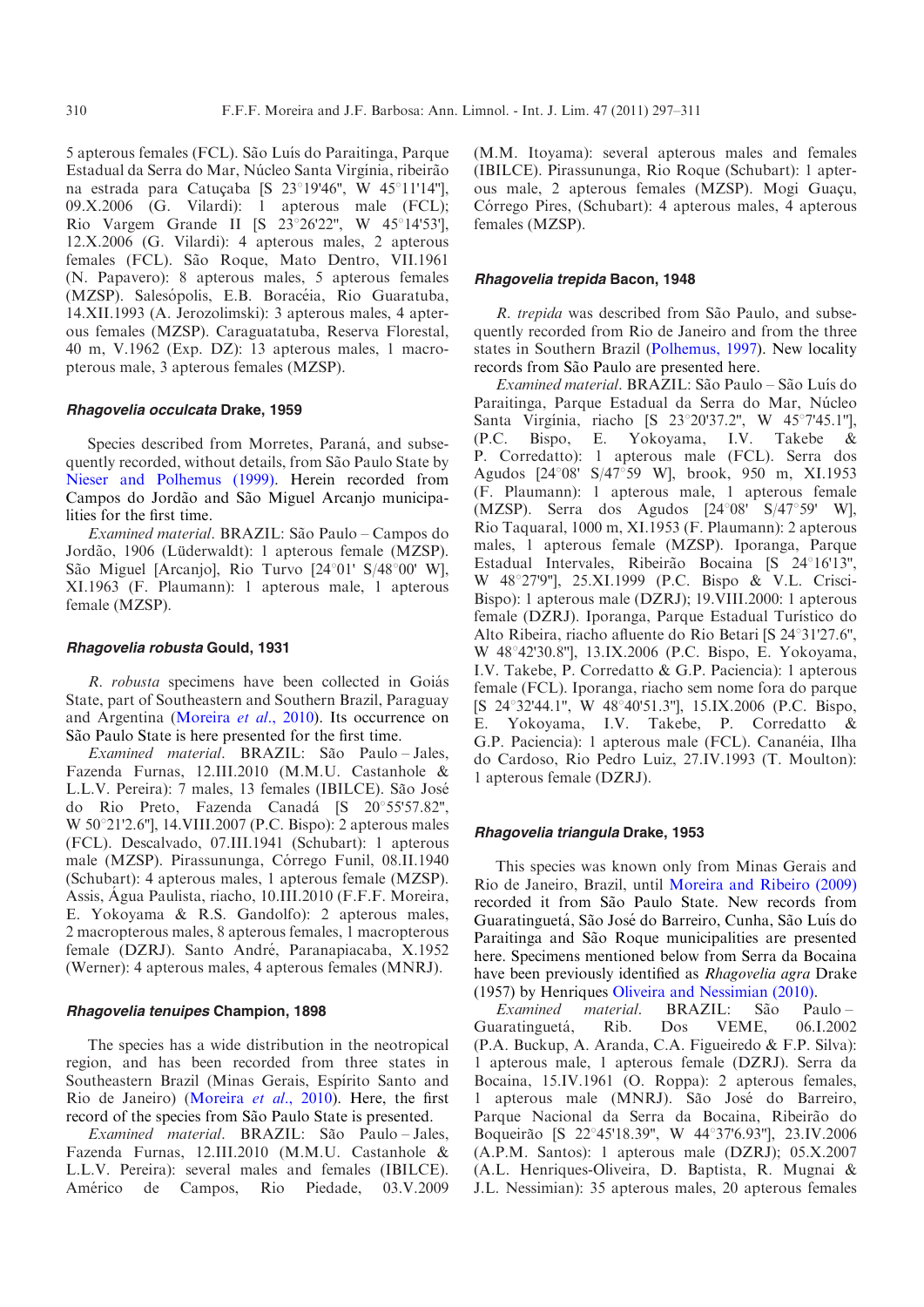5 apterous females (FCL). São Luís do Paraitinga, Parque Estadual da Serra do Mar, Núcleo Santa Virgínia, ribeirão na estrada para Catuçaba [S 23°19'46", W 45°11'14"], 09.X.2006 (G. Vilardi): 1 apterous male (FCL); Rio Vargem Grande II [S  $23^{\circ}26'22''$ , W  $45^{\circ}14'53'$ ], 12.X.2006 (G. Vilardi): 4 apterous males, 2 apterous females (FCL). São Roque, Mato Dentro, VII.1961 (N. Papavero): 8 apterous males, 5 apterous females (MZSP). Salesópolis, E.B. Boracéia, Rio Guaratuba, 14.XII.1993 (A. Jerozolimski): 3 apterous males, 4 apterous females (MZSP). Caraguatatuba, Reserva Florestal, 40 m, V.1962 (Exp. DZ): 13 apterous males, 1 macropterous male, 3 apterous females (MZSP).

## Rhagovelia occulcata Drake, 1959

Species described from Morretes, Paraná, and subsequently recorded, without details, from São Paulo State by [Nieser and Polhemus \(1999\)](#page-14-0). Herein recorded from Campos do Jordão and São Miguel Arcanjo municipalities for the first time.

Examined material. BRAZIL: São Paulo – Campos do Jordão, 1906 (Lüderwaldt): 1 apterous female (MZSP). São Miguel [Arcanjo], Rio Turvo [24°01' S/48°00' W], XI.1963 (F. Plaumann): 1 apterous male, 1 apterous female (MZSP).

#### Rhagovelia robusta Gould, 1931

R. *robusta* specimens have been collected in Goiás State, part of Southeastern and Southern Brazil, Paraguay and Argentina [\(Moreira](#page-14-0) et al., 2010). Its occurrence on São Paulo State is here presented for the first time.

Examined material. BRAZIL: São Paulo-Jales, Fazenda Furnas, 12.III.2010 (M.M.U. Castanhole & L.L.V. Pereira): 7 males, 13 females (IBILCE). São José do Rio Preto, Fazenda Canadá [S 20°55'57.82", W 50°21'2.6"], 14. VIII. 2007 (P.C. Bispo): 2 apterous males (FCL). Descalvado, 07.III.1941 (Schubart): 1 apterous male (MZSP). Pirassununga, Córrego Funil, 08.II.1940 (Schubart): 4 apterous males, 1 apterous female (MZSP). Assis, Agua Paulista, riacho, 10.III.2010 (F.F.F. Moreira, E. Yokoyama & R.S. Gandolfo): 2 apterous males, 2 macropterous males, 8 apterous females, 1 macropterous female (DZRJ). Santo André, Paranapiacaba, X.1952 (Werner): 4 apterous males, 4 apterous females (MNRJ).

## Rhagovelia tenuipes Champion, 1898

The species has a wide distribution in the neotropical region, and has been recorded from three states in Southeastern Brazil (Minas Gerais, Espírito Santo and Rio de Janeiro) ([Moreira](#page-14-0) et al., 2010). Here, the first record of the species from São Paulo State is presented.

Examined material. BRAZIL: São Paulo-Jales, Fazenda Furnas, 12.III.2010 (M.M.U. Castanhole & L.L.V. Pereira): several males and females (IBILCE). Américo de Campos, Rio Piedade, 03.V.2009 (M.M. Itoyama): several apterous males and females (IBILCE). Pirassununga, Rio Roque (Schubart): 1 apterous male, 2 apterous females (MZSP). Mogi Guaçu, Córrego Pires, (Schubart): 4 apterous males, 4 apterous females (MZSP).

## Rhagovelia trepida Bacon, 1948

R. trepida was described from São Paulo, and subsequently recorded from Rio de Janeiro and from the three states in Southern Brazil [\(Polhemus, 1997](#page-14-0)). New locality records from São Paulo are presented here.

Examined material. BRAZIL: São Paulo - São Luís do Paraitinga, Parque Estadual da Serra do Mar, Núcleo Santa Virgínia, riacho [S 23°20'37.2", W 45°7'45.1"], (P.C. Bispo, E. Yokoyama, I.V. Takebe & P. Corredatto): 1 apterous male (FCL). Serra dos Agudos [24°08' S/47°59 W], brook, 950 m, XI.1953 (F. Plaumann): 1 apterous male, 1 apterous female  $(MZSP)$ . Serra dos Agudos  $[24^{\circ}08' \quad S/47^{\circ}59' \quad W]$ , Rio Taquaral, 1000 m, XI.1953 (F. Plaumann): 2 apterous males, 1 apterous female (MZSP). Iporanga, Parque Estadual Intervales, Ribeirão Bocaina [S 24°16'13", W 48°27'9"], 25.XI.1999 (P.C. Bispo & V.L. Crisci-Bispo): 1 apterous male (DZRJ); 19.VIII.2000: 1 apterous female (DZRJ). Iporanga, Parque Estadual Turístico do Alto Ribeira, riacho afluente do Rio Betari [S 24°31'27.6", W 48°42'30.8"], 13.IX.2006 (P.C. Bispo, E. Yokoyama, I.V. Takebe, P. Corredatto & G.P. Paciencia): 1 apterous female (FCL). Iporanga, riacho sem nome fora do parque [S 24°32'44.1", W 48°40'51.3"], 15.IX.2006 (P.C. Bispo, E. Yokoyama, I.V. Takebe, P. Corredatto & G.P. Paciencia): 1 apterous male (FCL). Cananéia, Ilha do Cardoso, Rio Pedro Luiz, 27.IV.1993 (T. Moulton): 1 apterous female (DZRJ).

## Rhagovelia triangula Drake, 1953

This species was known only from Minas Gerais and Rio de Janeiro, Brazil, until [Moreira and Ribeiro \(2009\)](#page-14-0) recorded it from São Paulo State. New records from Guaratinguetá, São José do Barreiro, Cunha, São Luís do Paraitinga and São Roque municipalities are presented here. Specimens mentioned below from Serra da Bocaina have been previously identified as Rhagovelia agra Drake (1957) by Henriques [Oliveira and Nessimian \(2010\).](#page-14-0)

Examined material. BRAZIL: São Paulo-Guaratinguetá, Rib. Dos VEME, 06.I.2002 (P.A. Buckup, A. Aranda, C.A. Figueiredo & F.P. Silva): 1 apterous male, 1 apterous female (DZRJ). Serra da Bocaina, 15.IV.1961 (O. Roppa): 2 apterous females, 1 apterous male (MNRJ). São José do Barreiro, Parque Nacional da Serra da Bocaina, Ribeirão do Boqueirão [S 22°45'18.39", W 44°37'6.93"], 23.IV.2006 (A.P.M. Santos): 1 apterous male (DZRJ); 05.X.2007 (A.L. Henriques-Oliveira, D. Baptista, R. Mugnai & J.L. Nessimian): 35 apterous males, 20 apterous females